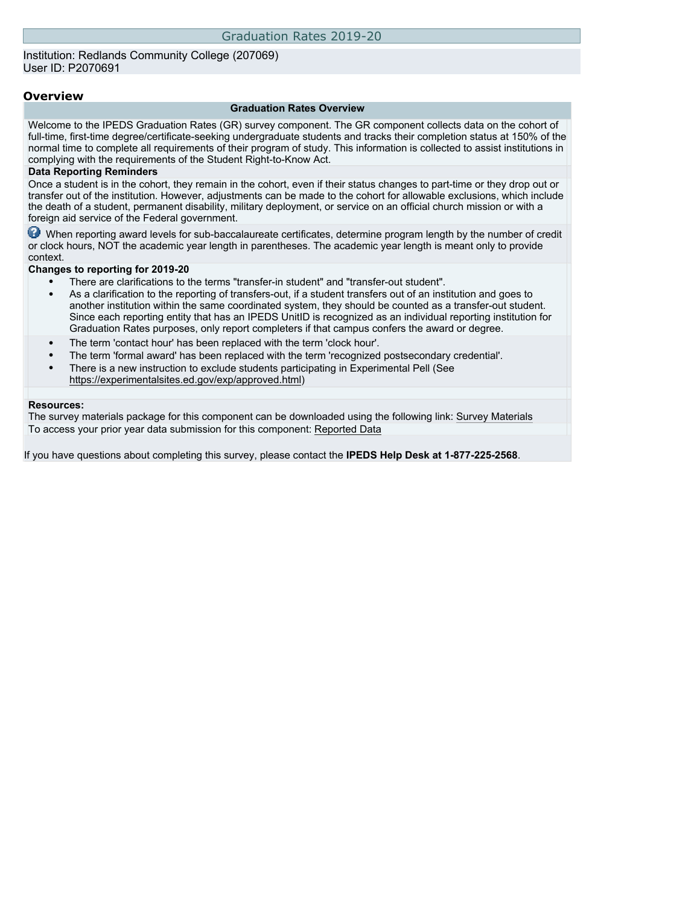### Institution: Redlands Community College (207069) User ID: P2070691

### **Overview**

### **Graduation Rates Overview**

Welcome to the IPEDS Graduation Rates (GR) survey component. The GR component collects data on the cohort of full-time, first-time degree/certificate-seeking undergraduate students and tracks their completion status at 150% of the normal time to complete all requirements of their program of study. This information is collected to assist institutions in complying with the requirements of the Student Right-to-Know Act.

### **Data Reporting Reminders**

Once a student is in the cohort, they remain in the cohort, even if their status changes to part-time or they drop out or transfer out of the institution. However, adjustments can be made to the cohort for allowable exclusions, which include the death of a student, permanent disability, military deployment, or service on an official church mission or with a foreign aid service of the Federal government.

When reporting award levels for sub-baccalaureate certificates, determine program length by the number of credit or clock hours, NOT the academic year length in parentheses. The academic year length is meant only to provide context.

### **Changes to reporting for 2019-20**

- There are clarifications to the terms "transfer-in student" and "transfer-out student".
- As a clarification to the reporting of transfers-out, if a student transfers out of an institution and goes to another institution within the same coordinated system, they should be counted as a transfer-out student. Since each reporting entity that has an IPEDS UnitID is recognized as an individual reporting institution for Graduation Rates purposes, only report completers if that campus confers the award or degree.
- The term 'contact hour' has been replaced with the term 'clock hour'.
- The term 'formal award' has been replaced with the term 'recognized postsecondary credential'.
- There is a new instruction to exclude students participating in Experimental Pell (See [https://experimentalsites.ed.gov/exp/approved.html\)](https://experimentalsites.ed.gov/exp/approved.html)

### **Resources:**

The survey materials package for this component can be downloaded using the following link: [Survey Materials](https://surveys.nces.ed.gov/ipeds/VisIndex.aspx) To access your prior year data submission for this component: [Reported Data](http://192.168.102.89/ipeds/PriorYearDataRedirect.aspx?survey_id=4)

If you have questions about completing this survey, please contact the **IPEDS Help Desk at 1-877-225-2568**.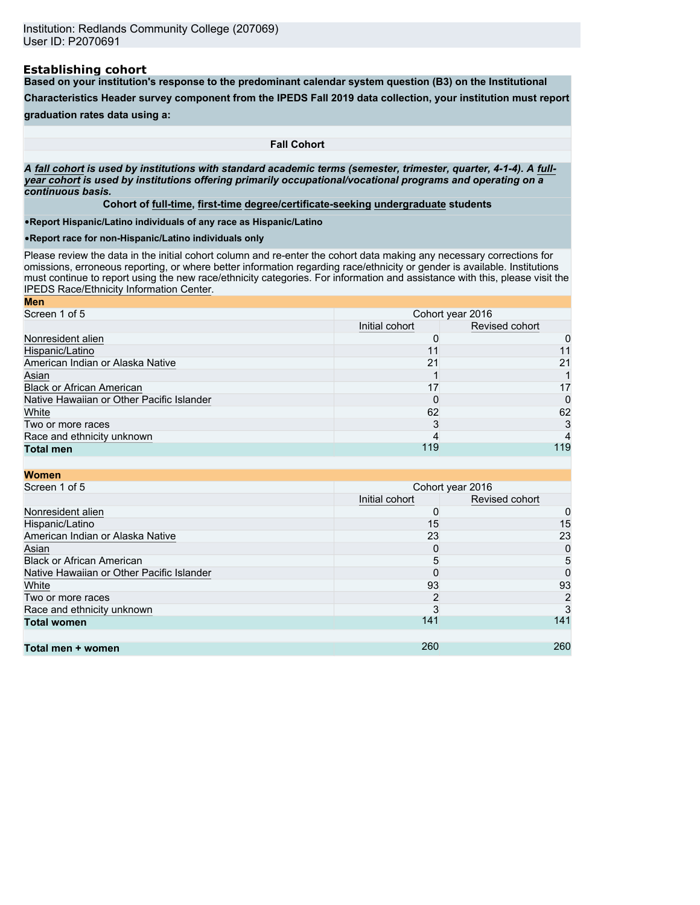### **Establishing cohort**

**Based on your institution's response to the predominant calendar system question (B3) on the Institutional**

**Characteristics Header survey component from the IPEDS Fall 2019 data collection, your institution must report**

**graduation rates data using a:**

**Fall Cohort**

*A* **fall cohort** *is used by institutions with standard academic terms (semester, trimester, quarter, 4-1-4). A* **fullyear cohort** *is used by institutions offering primarily occupational/vocational programs and operating on a continuous basis.*

**Cohort of full-time, first-time degree/certificate-seeking undergraduate students**

•**Report Hispanic/Latino individuals of any race as Hispanic/Latino**

•**Report race for non-Hispanic/Latino individuals only**

Please review the data in the initial cohort column and re-enter the cohort data making any necessary corrections for omissions, erroneous reporting, or where better information regarding race/ethnicity or gender is available. Institutions must continue to report using the new race/ethnicity categories. For information and assistance with this, please visit the [IPEDS Race/Ethnicity Information Center.](https://nces.ed.gov/ipeds/report-your-data/resource-center-race-ethnicity)

| <b>Men</b>                                |                                  |     |  |
|-------------------------------------------|----------------------------------|-----|--|
| Screen 1 of 5                             | Cohort year 2016                 |     |  |
|                                           | Revised cohort<br>Initial cohort |     |  |
| Nonresident alien                         |                                  | 0   |  |
| Hispanic/Latino                           |                                  | 11  |  |
| American Indian or Alaska Native          | 21                               | 21  |  |
| Asian                                     |                                  |     |  |
| <b>Black or African American</b>          | 17                               | 17  |  |
| Native Hawaiian or Other Pacific Islander |                                  | 0   |  |
| White                                     | 62                               | 62  |  |
| Two or more races                         | 3                                | 3   |  |
| Race and ethnicity unknown                |                                  |     |  |
| <b>Total men</b>                          | 119                              | 119 |  |

| <b>Women</b>                              |                |                  |
|-------------------------------------------|----------------|------------------|
| Screen 1 of 5                             |                | Cohort year 2016 |
|                                           | Initial cohort | Revised cohort   |
| Nonresident alien                         | 0              | 0                |
| Hispanic/Latino                           | 15             | 15               |
| American Indian or Alaska Native          | 23             | 23               |
| Asian                                     | 0              | 0                |
| <b>Black or African American</b>          | 5              | 5                |
| Native Hawaiian or Other Pacific Islander | 0              | 0                |
| White                                     | 93             | 93               |
| Two or more races                         | 2              | 2                |
| Race and ethnicity unknown                |                |                  |
| <b>Total women</b>                        | 141            | 141              |
|                                           |                |                  |
| Total men + women                         | 260            | 260              |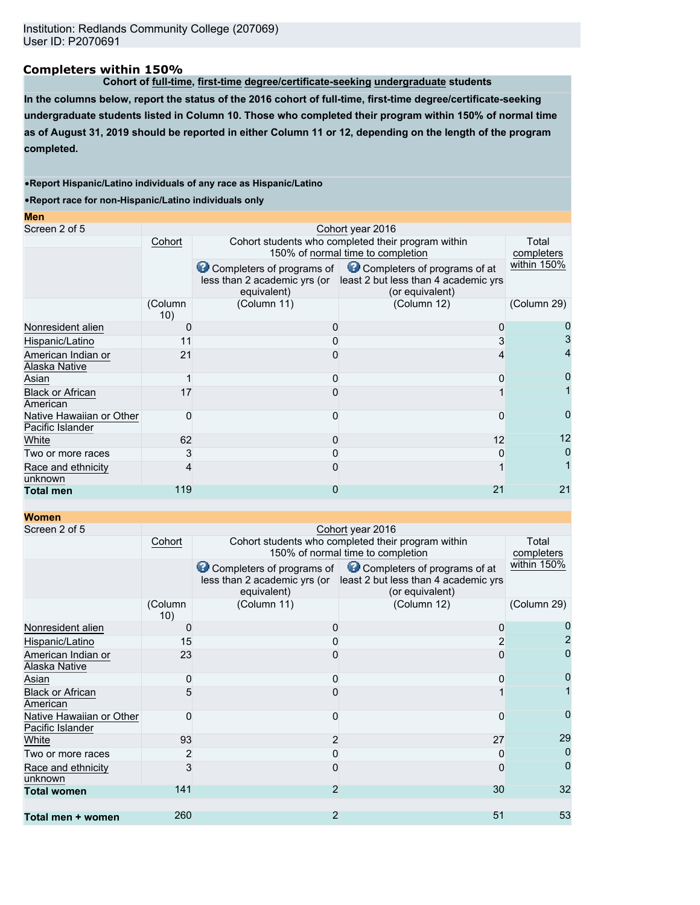# **Completers within 150%**

**Cohort of full-time, first-time degree/certificate-seeking undergraduate students**

**In the columns below, report the status of the 2016 cohort of full-time, first-time degree/certificate-seeking undergraduate students listed in Column 10. Those who completed their program within 150% of normal time as of August 31, 2019 should be reported in either Column 11 or 12, depending on the length of the program completed.**

### •**Report Hispanic/Latino individuals of any race as Hispanic/Latino**

•**Report race for non-Hispanic/Latino individuals only**

| Screen 2 of 5<br>Cohort year 2016<br>Cohort students who completed their program within<br>Cohort<br>150% of normal time to completion<br>Completers of programs of Completers of programs of at<br>less than 2 academic yrs (or least 2 but less than 4 academic yrs<br>equivalent)<br>(or equivalent)<br>(Column 12)<br>(Column 11)<br>(Column<br>10)<br>Nonresident alien<br>0<br>Hispanic/Latino<br>11<br>American Indian or<br>21 |                     |
|----------------------------------------------------------------------------------------------------------------------------------------------------------------------------------------------------------------------------------------------------------------------------------------------------------------------------------------------------------------------------------------------------------------------------------------|---------------------|
|                                                                                                                                                                                                                                                                                                                                                                                                                                        |                     |
|                                                                                                                                                                                                                                                                                                                                                                                                                                        | Total<br>completers |
|                                                                                                                                                                                                                                                                                                                                                                                                                                        | within 150%         |
|                                                                                                                                                                                                                                                                                                                                                                                                                                        | (Column 29)         |
|                                                                                                                                                                                                                                                                                                                                                                                                                                        |                     |
|                                                                                                                                                                                                                                                                                                                                                                                                                                        |                     |
| Alaska Native                                                                                                                                                                                                                                                                                                                                                                                                                          |                     |
| Asian                                                                                                                                                                                                                                                                                                                                                                                                                                  |                     |
| <b>Black or African</b><br>17<br>American                                                                                                                                                                                                                                                                                                                                                                                              |                     |
| Native Hawaiian or Other<br>O<br>O<br>n<br>Pacific Islander                                                                                                                                                                                                                                                                                                                                                                            |                     |
| 62<br>12<br>White<br>O                                                                                                                                                                                                                                                                                                                                                                                                                 | 12                  |
| 3<br>Two or more races                                                                                                                                                                                                                                                                                                                                                                                                                 |                     |
| Race and ethnicity<br>4<br>unknown                                                                                                                                                                                                                                                                                                                                                                                                     |                     |
| 119<br>21<br>0<br><b>Total men</b>                                                                                                                                                                                                                                                                                                                                                                                                     | 21                  |

## **Women**

| Screen 2 of 5                       |                | Cohort year 2016          |                                                                   |             |  |  |  |
|-------------------------------------|----------------|---------------------------|-------------------------------------------------------------------|-------------|--|--|--|
|                                     | Cohort         |                           | Cohort students who completed their program within                |             |  |  |  |
|                                     |                |                           | 150% of normal time to completion                                 | completers  |  |  |  |
|                                     |                | Completers of programs of | Completers of programs of at                                      | within 150% |  |  |  |
|                                     |                |                           | less than 2 academic yrs (or least 2 but less than 4 academic yrs |             |  |  |  |
|                                     |                | equivalent)               | (or equivalent)                                                   |             |  |  |  |
|                                     | (Column<br>10) | (Column 11)               | (Column 12)                                                       | (Column 29) |  |  |  |
| Nonresident alien                   | $\Box$         | 0                         | O                                                                 |             |  |  |  |
| Hispanic/Latino                     | 15             | 0                         |                                                                   |             |  |  |  |
| American Indian or                  | 23             | 0                         |                                                                   |             |  |  |  |
| Alaska Native                       |                |                           |                                                                   |             |  |  |  |
| Asian                               | 0              | 0                         |                                                                   |             |  |  |  |
| <b>Black or African</b><br>American |                |                           |                                                                   |             |  |  |  |
| Native Hawaiian or Other            | O              | <sup>0</sup>              | 0                                                                 | 0           |  |  |  |
| Pacific Islander                    |                |                           |                                                                   |             |  |  |  |
| White                               | 93             | $\overline{2}$            | 27                                                                | 29          |  |  |  |
| Two or more races                   |                | 0                         |                                                                   |             |  |  |  |
| Race and ethnicity<br>unknown       | 3              | 0                         |                                                                   | 0           |  |  |  |
| <b>Total women</b>                  | 141            | $\overline{2}$            | 30                                                                | 32          |  |  |  |
|                                     |                |                           |                                                                   |             |  |  |  |
| Total men + women                   | 260            | $\overline{2}$            | 51                                                                | 53          |  |  |  |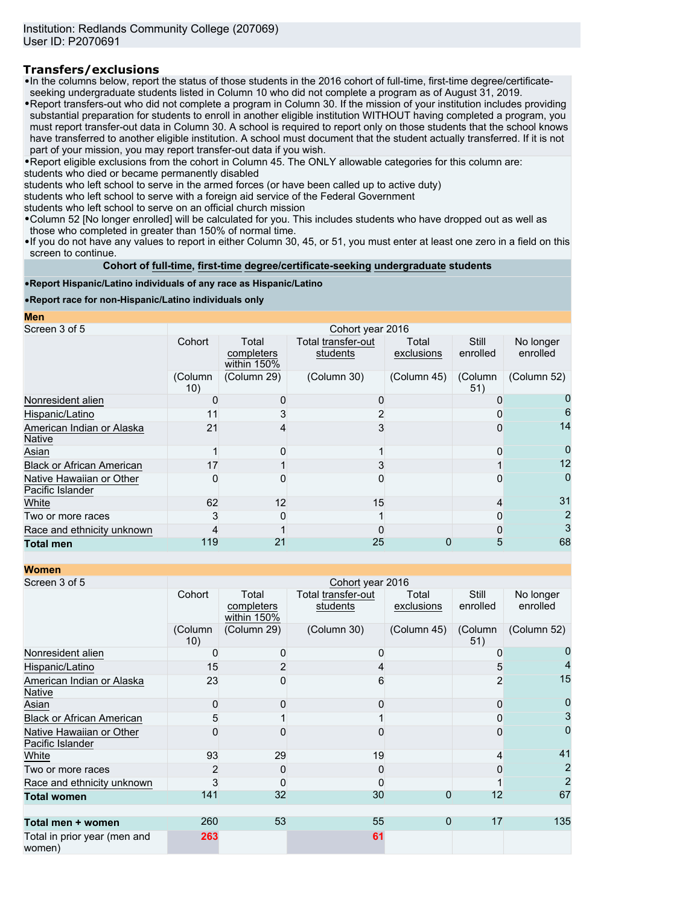# **Transfers/exclusions**

•In the columns below, report the status of those students in the 2016 cohort of full-time, first-time degree/certificateseeking undergraduate students listed in Column 10 who did not complete a program as of August 31, 2019.

•Report transfers-out who did not complete a program in Column 30. If the mission of your institution includes providing substantial preparation for students to enroll in another eligible institution WITHOUT having completed a program, you must report transfer-out data in Column 30. A school is required to report only on those students that the school knows have transferred to another eligible institution. A school must document that the student actually transferred. If it is not part of your mission, you may report transfer-out data if you wish.

•Report eligible exclusions from the cohort in Column 45. The ONLY allowable categories for this column are: students who died or became permanently disabled

students who left school to serve in the armed forces (or have been called up to active duty)

students who left school to serve with a foreign aid service of the Federal Government

students who left school to serve on an official church mission

•Column 52 [No longer enrolled] will be calculated for you. This includes students who have dropped out as well as those who completed in greater than 150% of normal time.

•If you do not have any values to report in either Column 30, 45, or 51, you must enter at least one zero in a field on this screen to continue.

**Cohort of full-time, first-time degree/certificate-seeking undergraduate students**

### •**Report Hispanic/Latino individuals of any race as Hispanic/Latino**

•**Report race for non-Hispanic/Latino individuals only**

**Men**

| Screen 3 of 5                                | Cohort year 2016 |                                    |                                |                     |                   |                       |
|----------------------------------------------|------------------|------------------------------------|--------------------------------|---------------------|-------------------|-----------------------|
|                                              | Cohort           | Total<br>completers<br>within 150% | Total transfer-out<br>students | Total<br>exclusions | Still<br>enrolled | No longer<br>enrolled |
|                                              | (Column<br>10)   | (Column 29)                        | (Column 30)                    | (Column 45)         | (Column<br>51)    | (Column 52)           |
| Nonresident alien                            |                  |                                    |                                |                     |                   |                       |
| Hispanic/Latino                              | 11               |                                    |                                |                     |                   | 6                     |
| American Indian or Alaska<br><b>Native</b>   | 21               |                                    |                                |                     |                   | 14                    |
| Asian                                        |                  |                                    |                                |                     | O                 | 0                     |
| <b>Black or African American</b>             | 17               |                                    |                                |                     |                   | 12                    |
| Native Hawaiian or Other<br>Pacific Islander | O                |                                    |                                |                     |                   |                       |
| White                                        | 62               | 12                                 | 15                             |                     |                   | 31                    |
| Two or more races                            |                  |                                    |                                |                     |                   |                       |
| Race and ethnicity unknown                   |                  |                                    |                                |                     |                   |                       |
| <b>Total men</b>                             | 119              | 21                                 | 25                             | O                   |                   | 68                    |

**Women**

| women                                        |                  |                                    |                                |                     |                          |                       |  |
|----------------------------------------------|------------------|------------------------------------|--------------------------------|---------------------|--------------------------|-----------------------|--|
| Screen 3 of 5                                | Cohort year 2016 |                                    |                                |                     |                          |                       |  |
|                                              | Cohort           | Total<br>completers<br>within 150% | Total transfer-out<br>students | Total<br>exclusions | <b>Still</b><br>enrolled | No longer<br>enrolled |  |
|                                              | (Column<br>10)   | (Column 29)                        | (Column 30)                    | (Column 45)         | (Column<br>51)           | (Column 52)           |  |
| Nonresident alien                            | 0                |                                    |                                |                     |                          |                       |  |
| Hispanic/Latino                              | 15               |                                    |                                |                     | 5                        |                       |  |
| American Indian or Alaska<br><b>Native</b>   | 23               |                                    | 6                              |                     |                          | 15                    |  |
| Asian                                        | $\Omega$         |                                    |                                |                     |                          |                       |  |
| <b>Black or African American</b>             | 5                |                                    |                                |                     |                          | 3                     |  |
| Native Hawaiian or Other<br>Pacific Islander | 0                |                                    |                                |                     |                          | 0                     |  |
| White                                        | 93               | 29                                 | 19                             |                     | 4                        | 41                    |  |
| Two or more races                            | 2                |                                    |                                |                     |                          | $\overline{2}$        |  |
| Race and ethnicity unknown                   | 3                |                                    |                                |                     |                          | $\overline{2}$        |  |
| <b>Total women</b>                           | 141              | 32                                 | 30                             | 0                   | 12                       | 67                    |  |
| Total men + women                            | 260              | 53                                 | 55                             | $\Omega$            | 17                       | 135                   |  |
| Total in prior year (men and<br>women)       | 263              |                                    | 61                             |                     |                          |                       |  |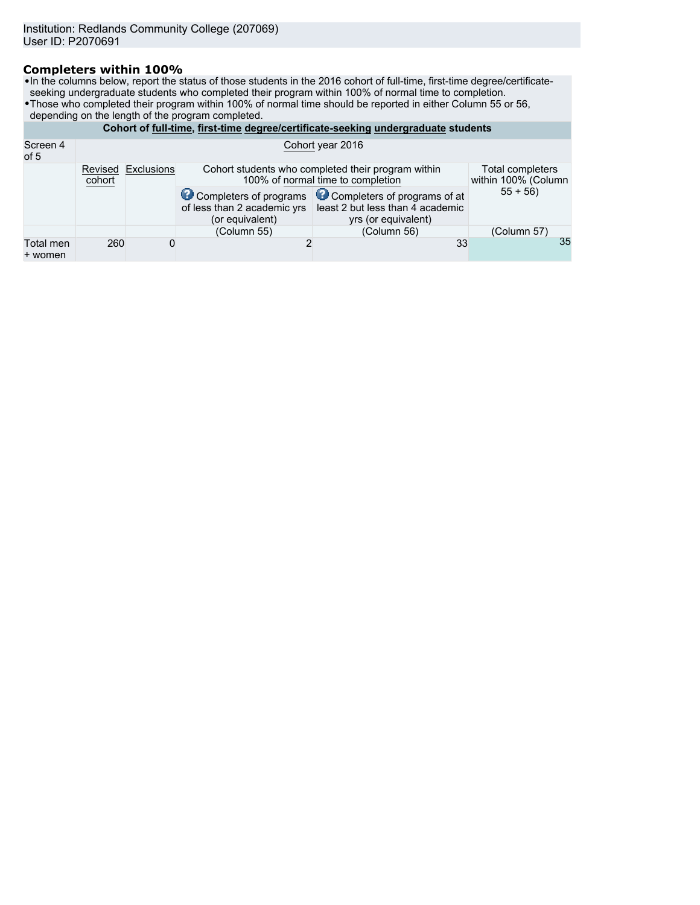# **Completers within 100%**

•In the columns below, report the status of those students in the 2016 cohort of full-time, first-time degree/certificateseeking undergraduate students who completed their program within 100% of normal time to completion.

- •Those who completed their program within 100% of normal time should be reported in either Column 55 or 56,
- depending on the length of the program completed.

|                      | Cohort of full-time, first-time degree/certificate-seeking undergraduate students |                    |                                                |                                                                                                                                    |             |  |  |
|----------------------|-----------------------------------------------------------------------------------|--------------------|------------------------------------------------|------------------------------------------------------------------------------------------------------------------------------------|-------------|--|--|
| Screen 4<br>of 5     | Cohort year 2016                                                                  |                    |                                                |                                                                                                                                    |             |  |  |
|                      | cohort                                                                            | Revised Exclusions |                                                | Total completers<br>Cohort students who completed their program within<br>100% of normal time to completion<br>within 100% (Column |             |  |  |
|                      |                                                                                   |                    | of less than 2 academic yrs<br>(or equivalent) | Completers of programs Completers of programs of at<br>least 2 but less than 4 academic<br>yrs (or equivalent)                     | $55 + 56$   |  |  |
|                      |                                                                                   |                    | (Column 55)                                    | (Column 56)                                                                                                                        | (Column 57) |  |  |
| Total men<br>+ women | 260                                                                               | 0                  |                                                | 33                                                                                                                                 | 35          |  |  |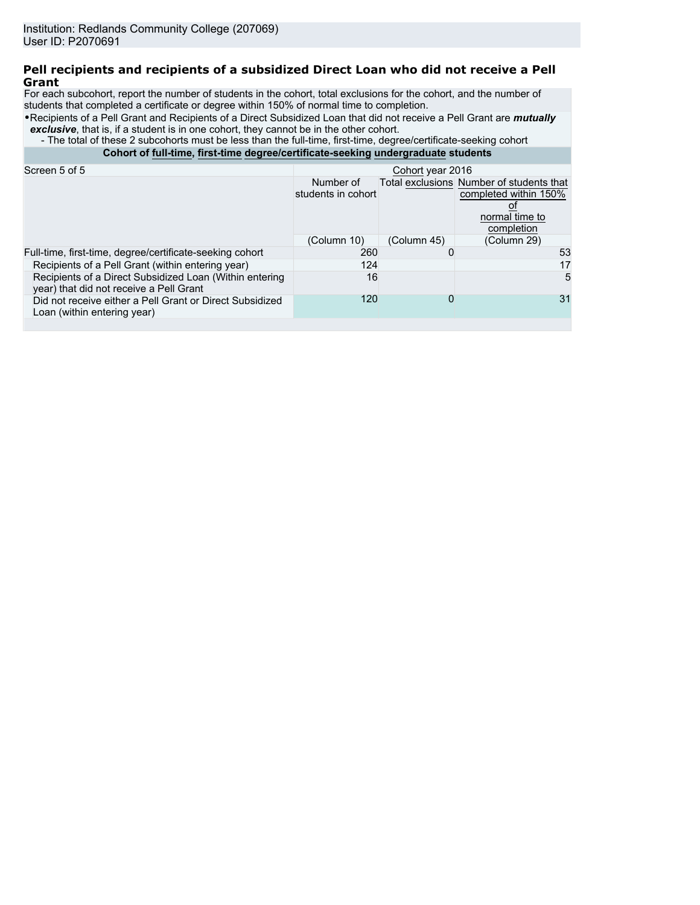# **Pell recipients and recipients of a subsidized Direct Loan who did not receive a Pell Grant**

For each subcohort, report the number of students in the cohort, total exclusions for the cohort, and the number of students that completed a certificate or degree within 150% of normal time to completion.

•Recipients of a Pell Grant and Recipients of a Direct Subsidized Loan that did not receive a Pell Grant are *mutually* **exclusive**, that is, if a student is in one cohort, they cannot be in the other cohort.

- The total of these 2 subcohorts must be less than the full-time, first-time, degree/certificate-seeking cohort

**Cohort of full-time, first-time degree/certificate-seeking undergraduate students**

| Screen 5 of 5                                                                                      | Cohort year 2016                |             |                                                                                                   |  |
|----------------------------------------------------------------------------------------------------|---------------------------------|-------------|---------------------------------------------------------------------------------------------------|--|
|                                                                                                    | Number of<br>students in cohort |             | Total exclusions Number of students that<br>completed within 150%<br>normal time to<br>completion |  |
|                                                                                                    | (Column 10)                     | (Column 45) | (Column 29)                                                                                       |  |
| Full-time, first-time, degree/certificate-seeking cohort                                           | 260                             |             | 53                                                                                                |  |
| Recipients of a Pell Grant (within entering year)                                                  | 124                             |             | 17                                                                                                |  |
| Recipients of a Direct Subsidized Loan (Within entering<br>year) that did not receive a Pell Grant | 16                              |             | 5                                                                                                 |  |
| Did not receive either a Pell Grant or Direct Subsidized<br>Loan (within entering year)            | 120                             | 0           | 31                                                                                                |  |
|                                                                                                    |                                 |             |                                                                                                   |  |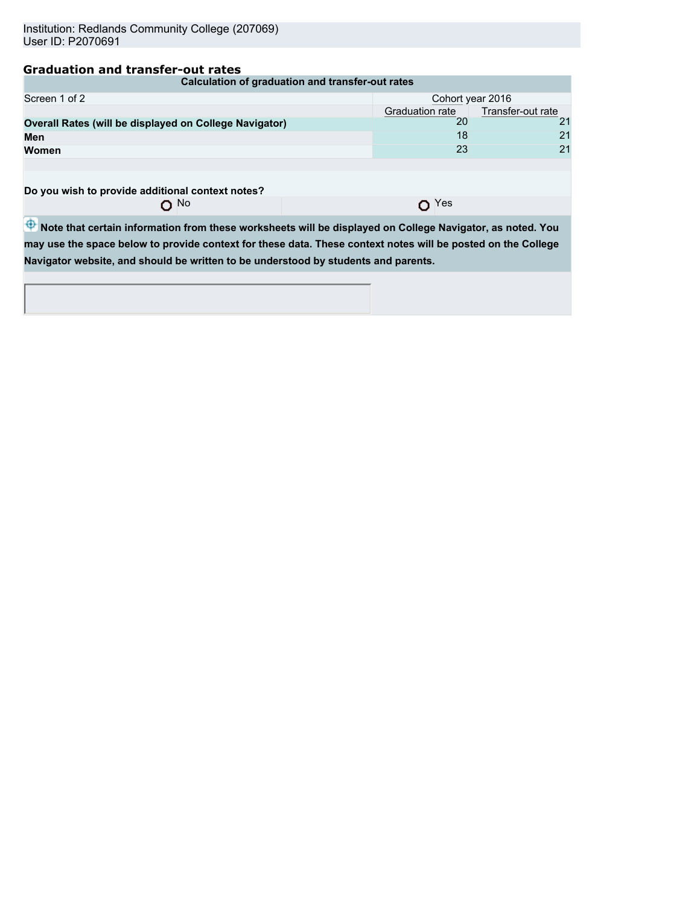# **Graduation and transfer-out rates**

| Calculation of graduation and transfer-out rates       |                                      |    |  |  |  |  |
|--------------------------------------------------------|--------------------------------------|----|--|--|--|--|
| Screen 1 of 2<br>Cohort year 2016                      |                                      |    |  |  |  |  |
|                                                        | Transfer-out rate<br>Graduation rate |    |  |  |  |  |
| Overall Rates (will be displayed on College Navigator) | 20                                   | 21 |  |  |  |  |
| Men                                                    | 18                                   | 21 |  |  |  |  |
| <b>Women</b>                                           | 23                                   | 21 |  |  |  |  |
|                                                        |                                      |    |  |  |  |  |
|                                                        |                                      |    |  |  |  |  |
|                                                        |                                      |    |  |  |  |  |

**Do you wish to provide additional context notes?**

O<sub>Yes</sub>

 $\overline{\Phi}$  Note that certain information from these worksheets will be displayed on College Navigator, as noted. You **may use the space below to provide context for these data. These context notes will be posted on the College Navigator website, and should be written to be understood by students and parents.**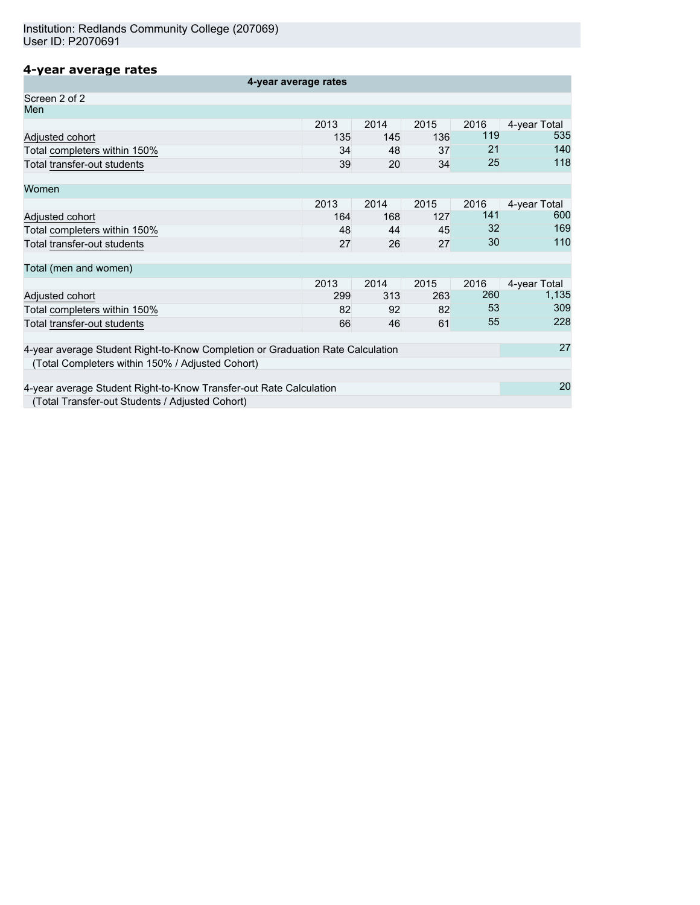# **4-year average rates**

| 4-year average rates                                                           |      |      |      |      |              |
|--------------------------------------------------------------------------------|------|------|------|------|--------------|
| Screen 2 of 2                                                                  |      |      |      |      |              |
| Men                                                                            |      |      |      |      |              |
|                                                                                | 2013 | 2014 | 2015 | 2016 | 4-year Total |
| Adjusted cohort                                                                | 135  | 145  | 136  | 119  | 535          |
| Total completers within 150%                                                   | 34   | 48   | 37   | 21   | 140          |
| Total transfer-out students                                                    | 39   | 20   | 34   | 25   | 118          |
| Women                                                                          |      |      |      |      |              |
|                                                                                | 2013 | 2014 | 2015 | 2016 | 4-year Total |
| Adjusted cohort                                                                | 164  | 168  | 127  | 141  | 600          |
| Total completers within 150%                                                   | 48   | 44   | 45   | 32   | 169          |
| Total transfer-out students                                                    | 27   | 26   | 27   | 30   | 110          |
| Total (men and women)                                                          |      |      |      |      |              |
|                                                                                | 2013 | 2014 | 2015 | 2016 | 4-year Total |
| Adjusted cohort                                                                | 299  | 313  | 263  | 260  | 1,135        |
| Total completers within 150%                                                   | 82   | 92   | 82   | 53   | 309          |
| Total transfer-out students                                                    | 66   | 46   | 61   | 55   | 228          |
| 4-year average Student Right-to-Know Completion or Graduation Rate Calculation |      |      |      |      |              |
| (Total Completers within 150% / Adjusted Cohort)                               |      |      |      |      |              |
| 4-year average Student Right-to-Know Transfer-out Rate Calculation             |      |      |      |      | 20           |
| (Total Transfer-out Students / Adjusted Cohort)                                |      |      |      |      |              |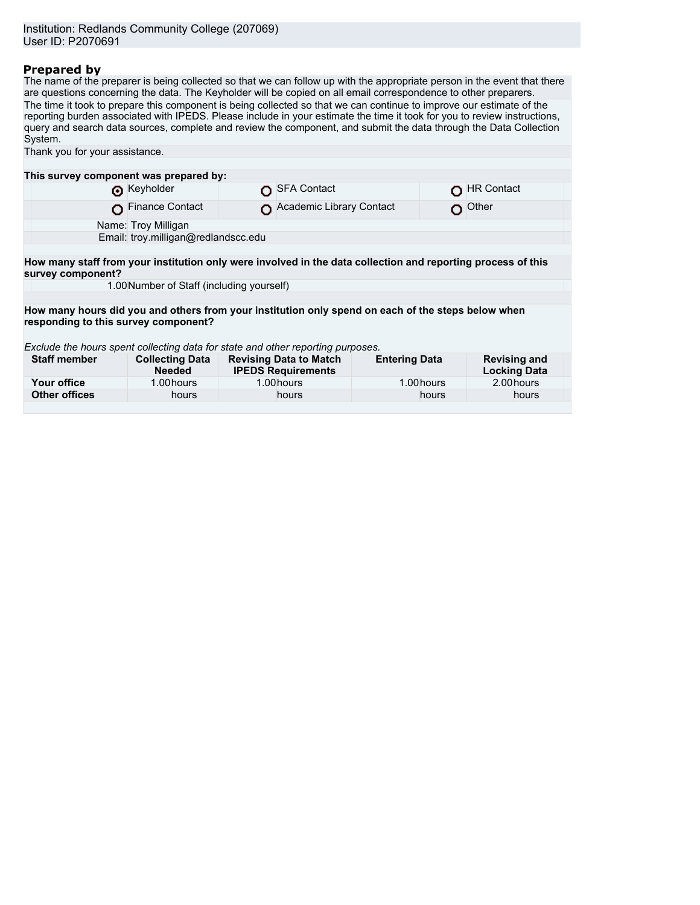# **Prepared by**

The name of the preparer is being collected so that we can follow up with the appropriate person in the event that there are questions concerning the data. The Keyholder will be copied on all email correspondence to other preparers. The time it took to prepare this component is being collected so that we can continue to improve our estimate of the reporting burden associated with IPEDS. Please include in your estimate the time it took for you to review instructions, query and search data sources, complete and review the component, and submit the data through the Data Collection System. Thank you for your assistance.

|                                                                                                                                            | This survey component was prepared by:    |  |                                                            |                      |       |                                            |
|--------------------------------------------------------------------------------------------------------------------------------------------|-------------------------------------------|--|------------------------------------------------------------|----------------------|-------|--------------------------------------------|
|                                                                                                                                            | Reyholder                                 |  | SFA Contact                                                |                      |       | <b>HR Contact</b>                          |
|                                                                                                                                            | Finance Contact                           |  | Academic Library Contact                                   |                      | o     | Other                                      |
|                                                                                                                                            | Name: Troy Milligan                       |  |                                                            |                      |       |                                            |
|                                                                                                                                            | Email: troy.milligan@redlandscc.edu       |  |                                                            |                      |       |                                            |
|                                                                                                                                            |                                           |  |                                                            |                      |       |                                            |
| How many staff from your institution only were involved in the data collection and reporting process of this<br>survey component?          |                                           |  |                                                            |                      |       |                                            |
|                                                                                                                                            | 1.00 Number of Staff (including yourself) |  |                                                            |                      |       |                                            |
|                                                                                                                                            |                                           |  |                                                            |                      |       |                                            |
| How many hours did you and others from your institution only spend on each of the steps below when<br>responding to this survey component? |                                           |  |                                                            |                      |       |                                            |
| Exclude the hours spent collecting data for state and other reporting purposes.                                                            |                                           |  |                                                            |                      |       |                                            |
| <b>Staff member</b>                                                                                                                        | <b>Collecting Data</b><br><b>Needed</b>   |  | <b>Revising Data to Match</b><br><b>IPEDS Requirements</b> | <b>Entering Data</b> |       | <b>Revising and</b><br><b>Locking Data</b> |
| Your office                                                                                                                                | 1.00 hours                                |  | 1.00 hours                                                 | 1.00 hours           |       | 2.00 hours                                 |
| <b>Other offices</b>                                                                                                                       | hours                                     |  | hours                                                      |                      | hours | hours                                      |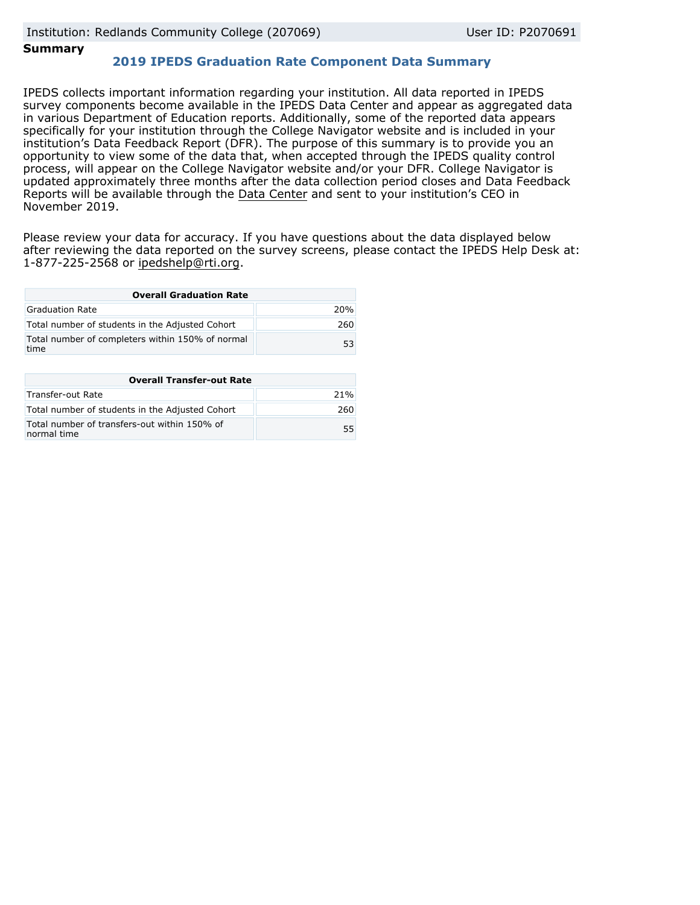# **Summary**

# **2019 IPEDS Graduation Rate Component Data Summary**

IPEDS collects important information regarding your institution. All data reported in IPEDS survey components become available in the IPEDS Data Center and appear as aggregated data in various Department of Education reports. Additionally, some of the reported data appears specifically for your institution through the College Navigator website and is included in your institution's Data Feedback Report (DFR). The purpose of this summary is to provide you an opportunity to view some of the data that, when accepted through the IPEDS quality control process, will appear on the College Navigator website and/or your DFR. College Navigator is updated approximately three months after the data collection period closes and Data Feedback Reports will be available through the [Data Center](https://nces.ed.gov/ipeds/use-the-data) and sent to your institution's CEO in November 2019.

Please review your data for accuracy. If you have questions about the data displayed below after reviewing the data reported on the survey screens, please contact the IPEDS Help Desk at: 1-877-225-2568 or ipedshelp@rti.org.

| <b>Overall Graduation Rate</b>                           |     |  |  |  |
|----------------------------------------------------------|-----|--|--|--|
| Graduation Rate                                          | 20% |  |  |  |
| Total number of students in the Adjusted Cohort          | 260 |  |  |  |
| Total number of completers within 150% of normal<br>time | 53  |  |  |  |

| <b>Overall Transfer-out Rate</b>                            |     |
|-------------------------------------------------------------|-----|
| Transfer-out Rate                                           | 21% |
| Total number of students in the Adjusted Cohort             | 260 |
| Total number of transfers-out within 150% of<br>normal time |     |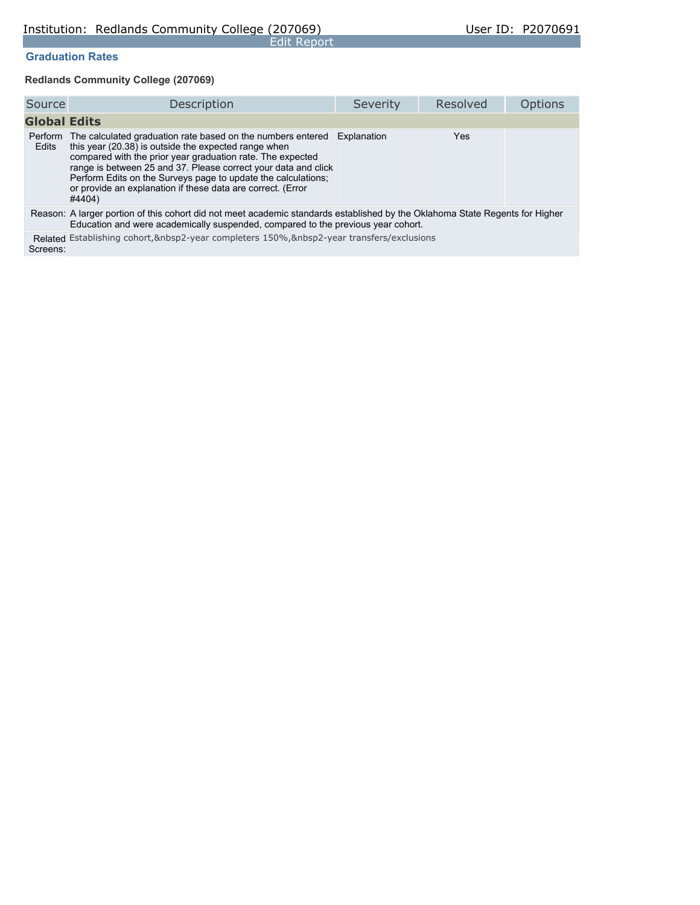## **Graduation Rates**

**Redlands Community College (207069)**

| Source              | Description                                                                                                                                                                                                                                                                                                                                                                                           | Severity    | Resolved   | <b>Options</b> |
|---------------------|-------------------------------------------------------------------------------------------------------------------------------------------------------------------------------------------------------------------------------------------------------------------------------------------------------------------------------------------------------------------------------------------------------|-------------|------------|----------------|
| <b>Global Edits</b> |                                                                                                                                                                                                                                                                                                                                                                                                       |             |            |                |
| Edits               | Perform The calculated graduation rate based on the numbers entered<br>this year (20.38) is outside the expected range when<br>compared with the prior year graduation rate. The expected<br>range is between 25 and 37. Please correct your data and click<br>Perform Edits on the Surveys page to update the calculations;<br>or provide an explanation if these data are correct. (Error<br>#4404) | Explanation | <b>Yes</b> |                |
|                     | Reason: A larger portion of this cohort did not meet academic standards established by the Oklahoma State Regents for Higher<br>Education and were academically suspended, compared to the previous year cohort.                                                                                                                                                                                      |             |            |                |
| Screens:            | Related Establishing cohort, &nbsp2-year completers 150%, &nbsp2-year transfers/exclusions                                                                                                                                                                                                                                                                                                            |             |            |                |

Edit Report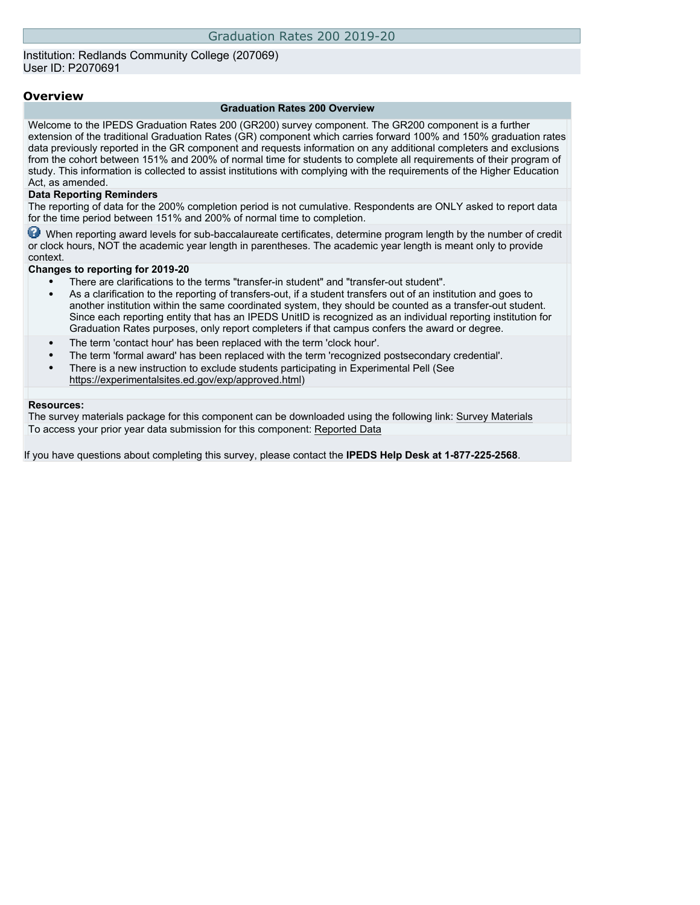### Institution: Redlands Community College (207069) User ID: P2070691

### **Overview**

### **Graduation Rates 200 Overview**

Welcome to the IPEDS Graduation Rates 200 (GR200) survey component. The GR200 component is a further extension of the traditional Graduation Rates (GR) component which carries forward 100% and 150% graduation rates data previously reported in the GR component and requests information on any additional completers and exclusions from the cohort between 151% and 200% of normal time for students to complete all requirements of their program of study. This information is collected to assist institutions with complying with the requirements of the Higher Education Act, as amended.

### **Data Reporting Reminders**

The reporting of data for the 200% completion period is not cumulative. Respondents are ONLY asked to report data for the time period between 151% and 200% of normal time to completion.

When reporting award levels for sub-baccalaureate certificates, determine program length by the number of credit or clock hours, NOT the academic year length in parentheses. The academic year length is meant only to provide context.

### **Changes to reporting for 2019-20**

- There are clarifications to the terms "transfer-in student" and "transfer-out student".
- As a clarification to the reporting of transfers-out, if a student transfers out of an institution and goes to another institution within the same coordinated system, they should be counted as a transfer-out student. Since each reporting entity that has an IPEDS UnitID is recognized as an individual reporting institution for Graduation Rates purposes, only report completers if that campus confers the award or degree.
- The term 'contact hour' has been replaced with the term 'clock hour'.
- The term 'formal award' has been replaced with the term 'recognized postsecondary credential'.
- There is a new instruction to exclude students participating in Experimental Pell (See [https://experimentalsites.ed.gov/exp/approved.html\)](https://experimentalsites.ed.gov/exp/approved.html)

### **Resources:**

The survey materials package for this component can be downloaded using the following link: [Survey Materials](https://surveys.nces.ed.gov/ipeds/VisIndex.aspx) To access your prior year data submission for this component: [Reported Data](http://192.168.102.89/ipeds/PriorYearDataRedirect.aspx?survey_id=2)

If you have questions about completing this survey, please contact the **IPEDS Help Desk at 1-877-225-2568**.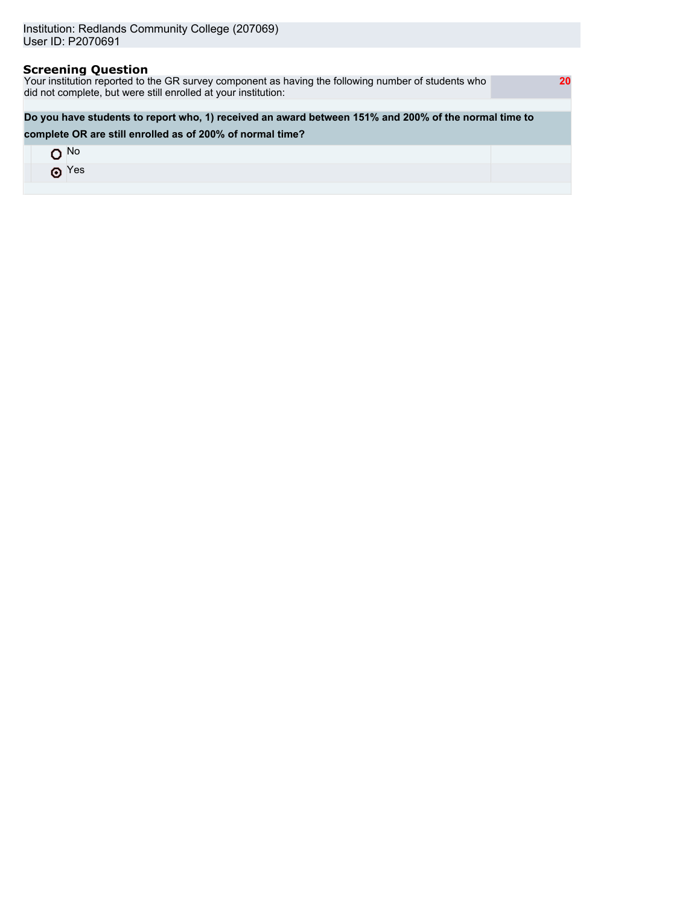# **Screening Question** Your institution reported to the GR survey component as having the following number of students who did not complete, but were still enrolled at your institution:  **20 Do you have students to report who, 1) received an award between 151% and 200% of the normal time to complete OR are still enrolled as of 200% of normal time?** O<sub>No</sub> O Yes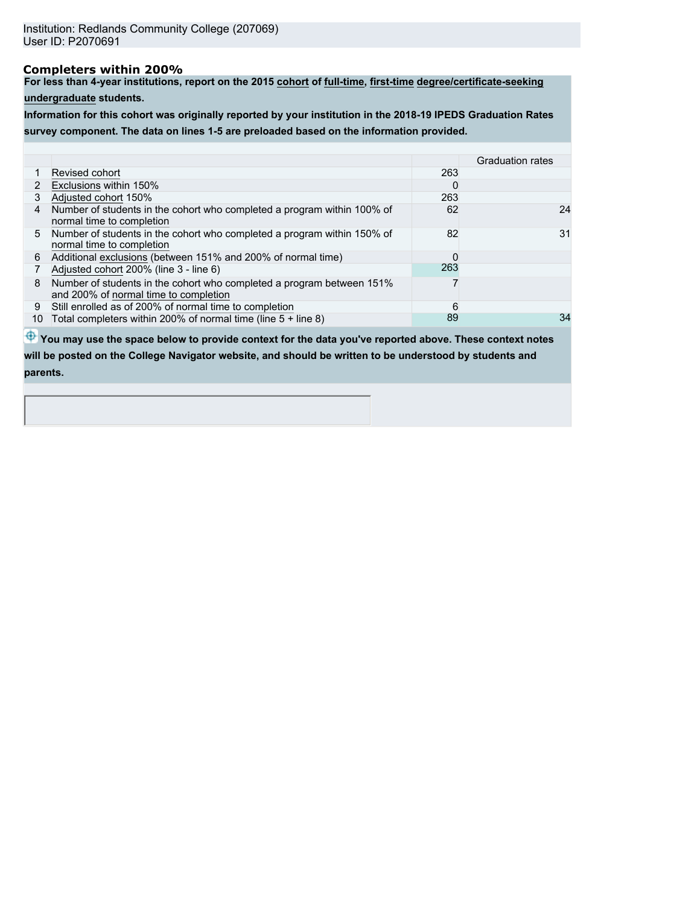# **Completers within 200%**

**For less than 4-year institutions, report on the 2015 cohort of full-time, first-time degree/certificate-seeking**

**undergraduate students.**

**Information for this cohort was originally reported by your institution in the 2018-19 IPEDS Graduation Rates survey component. The data on lines 1-5 are preloaded based on the information provided.**

|    |                                                                                                                |     | <b>Graduation rates</b> |
|----|----------------------------------------------------------------------------------------------------------------|-----|-------------------------|
|    | Revised cohort                                                                                                 | 263 |                         |
| 2  | Exclusions within 150%                                                                                         | 0   |                         |
| 3  | Adjusted cohort 150%                                                                                           | 263 |                         |
| 4  | Number of students in the cohort who completed a program within 100% of<br>normal time to completion           | 62  | 24                      |
|    | 5 Number of students in the cohort who completed a program within 150% of<br>normal time to completion         | 82  | 31                      |
| 6  | Additional exclusions (between 151% and 200% of normal time)                                                   | 0   |                         |
|    | Adjusted cohort 200% (line 3 - line 6)                                                                         | 263 |                         |
| 8  | Number of students in the cohort who completed a program between 151%<br>and 200% of normal time to completion |     |                         |
| 9  | Still enrolled as of 200% of normal time to completion                                                         | 6   |                         |
| 10 | Total completers within 200% of normal time (line $5 +$ line 8)                                                | 89  | 34                      |

 $\bigoplus$  **You may use the space below to provide context for the data you've reported above. These context notes will be posted on the College Navigator website, and should be written to be understood by students and parents.**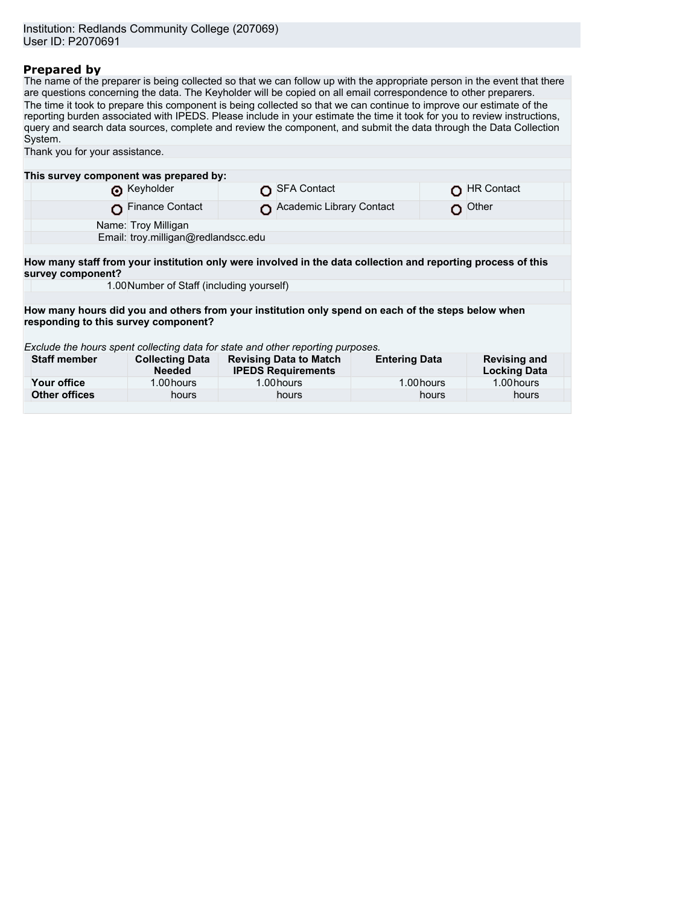# **Prepared by**

The name of the preparer is being collected so that we can follow up with the appropriate person in the event that there are questions concerning the data. The Keyholder will be copied on all email correspondence to other preparers. The time it took to prepare this component is being collected so that we can continue to improve our estimate of the reporting burden associated with IPEDS. Please include in your estimate the time it took for you to review instructions, query and search data sources, complete and review the component, and submit the data through the Data Collection System. Thank you for your assistance.

| This survey component was prepared by:                                                                                            |                                           |  |                                                            |                                                                                                    |                                            |  |  |
|-----------------------------------------------------------------------------------------------------------------------------------|-------------------------------------------|--|------------------------------------------------------------|----------------------------------------------------------------------------------------------------|--------------------------------------------|--|--|
|                                                                                                                                   | Reyholder                                 |  | <b>SFA Contact</b>                                         |                                                                                                    | <b>HR Contact</b>                          |  |  |
|                                                                                                                                   | <b>Finance Contact</b>                    |  | Academic Library Contact                                   |                                                                                                    | Other                                      |  |  |
|                                                                                                                                   | Name: Troy Milligan                       |  |                                                            |                                                                                                    |                                            |  |  |
|                                                                                                                                   | Email: troy.milligan@redlandscc.edu       |  |                                                            |                                                                                                    |                                            |  |  |
|                                                                                                                                   |                                           |  |                                                            |                                                                                                    |                                            |  |  |
| How many staff from your institution only were involved in the data collection and reporting process of this<br>survey component? |                                           |  |                                                            |                                                                                                    |                                            |  |  |
|                                                                                                                                   | 1.00 Number of Staff (including yourself) |  |                                                            |                                                                                                    |                                            |  |  |
|                                                                                                                                   |                                           |  |                                                            |                                                                                                    |                                            |  |  |
| responding to this survey component?                                                                                              |                                           |  |                                                            | How many hours did you and others from your institution only spend on each of the steps below when |                                            |  |  |
| Exclude the hours spent collecting data for state and other reporting purposes.                                                   |                                           |  |                                                            |                                                                                                    |                                            |  |  |
| <b>Staff member</b>                                                                                                               | <b>Collecting Data</b><br><b>Needed</b>   |  | <b>Revising Data to Match</b><br><b>IPEDS Requirements</b> | <b>Entering Data</b>                                                                               | <b>Revising and</b><br><b>Locking Data</b> |  |  |
| Your office                                                                                                                       | 1.00 hours                                |  | 1.00 hours                                                 | 1.00 hours                                                                                         | 1.00 hours                                 |  |  |
| <b>Other offices</b>                                                                                                              | hours                                     |  | hours                                                      | hours                                                                                              | hours                                      |  |  |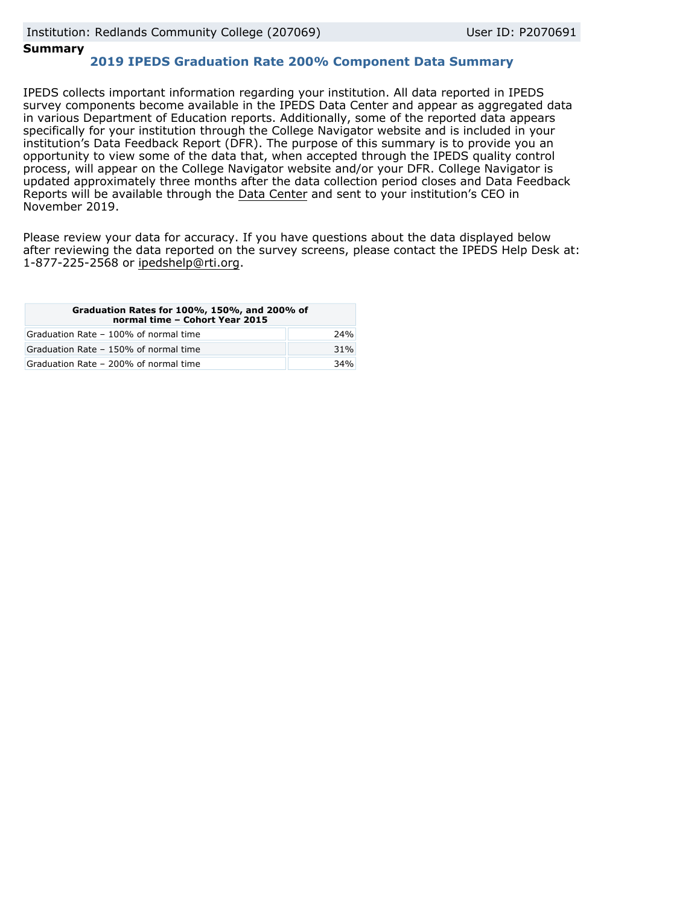## **Summary**

# **2019 IPEDS Graduation Rate 200% Component Data Summary**

IPEDS collects important information regarding your institution. All data reported in IPEDS survey components become available in the IPEDS Data Center and appear as aggregated data in various Department of Education reports. Additionally, some of the reported data appears specifically for your institution through the College Navigator website and is included in your institution's Data Feedback Report (DFR). The purpose of this summary is to provide you an opportunity to view some of the data that, when accepted through the IPEDS quality control process, will appear on the College Navigator website and/or your DFR. College Navigator is updated approximately three months after the data collection period closes and Data Feedback Reports will be available through the [Data Center](https://nces.ed.gov/ipeds/use-the-data) and sent to your institution's CEO in November 2019.

Please review your data for accuracy. If you have questions about the data displayed below after reviewing the data reported on the survey screens, please contact the IPEDS Help Desk at: 1-877-225-2568 or ipedshelp@rti.org.

| Graduation Rates for 100%, 150%, and 200% of<br>normal time - Cohort Year 2015 |     |
|--------------------------------------------------------------------------------|-----|
| Graduation Rate - 100% of normal time                                          | 24% |
| Graduation Rate - 150% of normal time                                          | 31% |
| Graduation Rate - 200% of normal time                                          | 34% |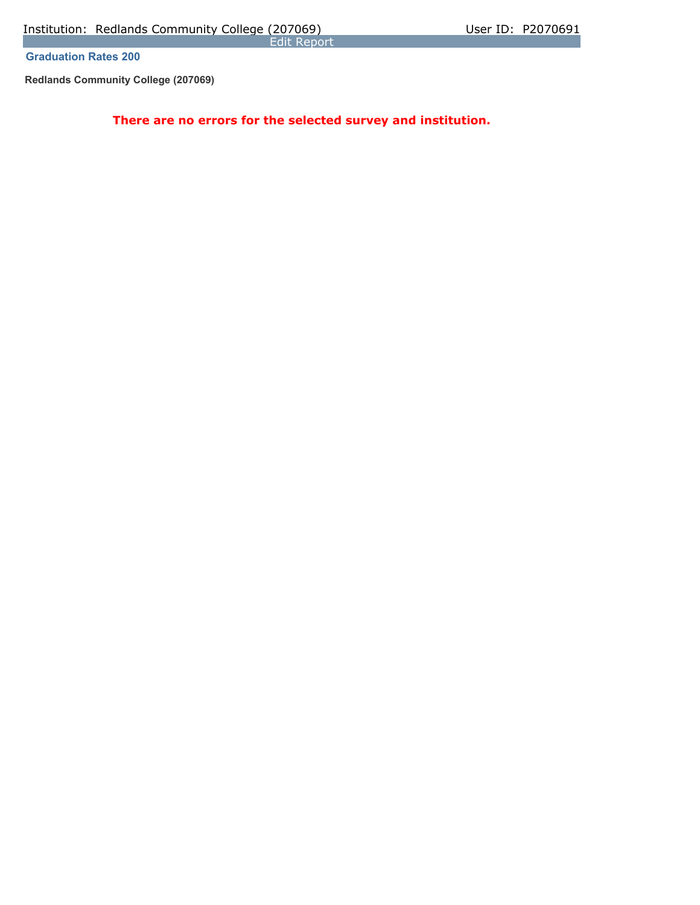Edit Report

**Graduation Rates 200** 

**Redlands Community College (207069)**

**There are no errors for the selected survey and institution.**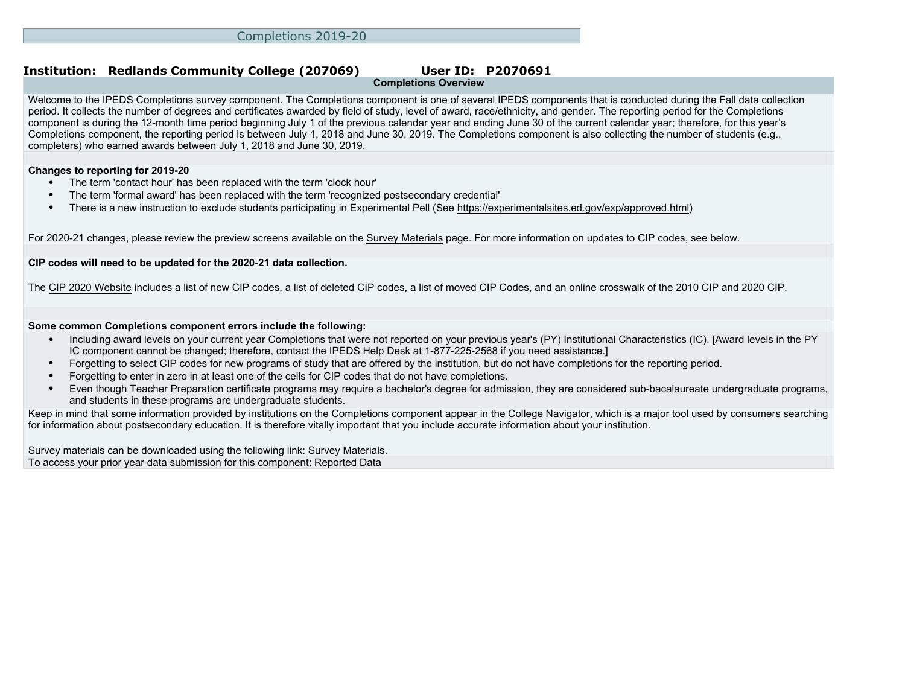### **Institution: Redlands Community College (207069) User ID: P2070691 Completions Overview**

Welcome to the IPEDS Completions survey component. The Completions component is one of several IPEDS components that is conducted during the Fall data collection period. It collects the number of degrees and certificates awarded by field of study, level of award, race/ethnicity, and gender. The reporting period for the Completions component is during the 12-month time period beginning July 1 of the previous calendar year and ending June 30 of the current calendar year; therefore, for this year's Completions component, the reporting period is between July 1, 2018 and June 30, 2019. The Completions component is also collecting the number of students (e.g., completers) who earned awards between July 1, 2018 and June 30, 2019.

### **Changes to reporting for 2019-20**

- The term 'contact hour' has been replaced with the term 'clock hour'
- The term 'formal award' has been replaced with the term 'recognized postsecondary credential'
- There is a new instruction to exclude students participating in Experimental Pell (See<https://experimentalsites.ed.gov/exp/approved.html>)

For 2020-21 changes, please review the preview screens available on the [Survey Materials](https://surveys.nces.ed.gov/ipeds/VisIndex.aspx) page. For more information on updates to CIP codes, see below.

### **CIP codes will need to be updated for the 2020-21 data collection.**

The [CIP 2020 Website](https://nces.ed.gov/ipeds/cipcode/Default.aspx?y=55) includes a list of new CIP codes, a list of deleted CIP codes, a list of moved CIP Codes, and an online crosswalk of the 2010 CIP and 2020 CIP.

### **Some common Completions component errors include the following:**

- Including award levels on your current year Completions that were not reported on your previous year's (PY) Institutional Characteristics (IC). [Award levels in the PY IC component cannot be changed; therefore, contact the IPEDS Help Desk at 1-877-225-2568 if you need assistance.]
- Forgetting to select CIP codes for new programs of study that are offered by the institution, but do not have completions for the reporting period.
- Forgetting to enter in zero in at least one of the cells for CIP codes that do not have completions.
- Even though Teacher Preparation certificate programs may require a bachelor's degree for admission, they are considered sub-bacalaureate undergraduate programs, and students in these programs are undergraduate students.

Keep in mind that some information provided by institutions on the Completions component appear in the [College Navigator](http://collegenavigator.ed.gov), which is a major tool used by consumers searching for information about postsecondary education. It is therefore vitally important that you include accurate information about your institution.

Survey materials can be downloaded using the following link: [Survey Materials.](https://surveys.nces.ed.gov/ipeds/VisIndex.aspx) To access your prior year data submission for this component: [Reported Data](http://192.168.102.153/ipeds/PriorYearDataRedirect.aspx?survey_id=10)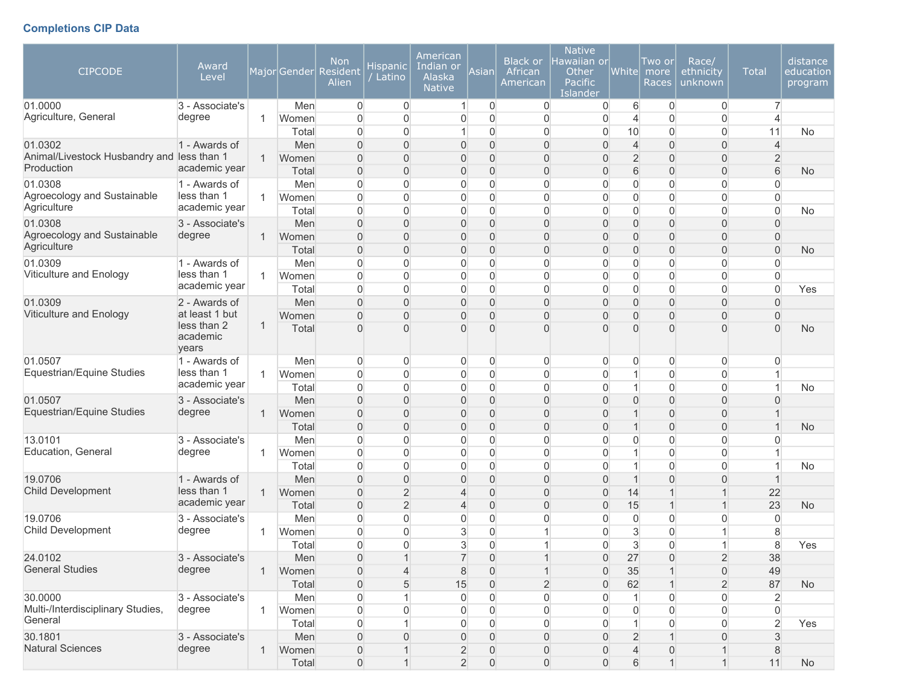# **Completions CIP Data**

| <b>CIPCODE</b>                               | Award<br>Level               |              | MajorGender    | <b>Non</b><br>Resident<br>Alien | <b>Hispanic</b><br>Latino        | American<br>Indian or<br>Alaska<br><b>Native</b> | Asian                            | <b>Black or</b><br>African<br>American | <b>Native</b><br>lawaiian or<br>Other<br><b>Pacific</b><br>Islander | <b>Whitel</b>                      | Two or<br>more<br>Races       | Race/<br>ethnicity<br>unknown      | <b>Total</b>               | distance<br>education<br>program |          |           |
|----------------------------------------------|------------------------------|--------------|----------------|---------------------------------|----------------------------------|--------------------------------------------------|----------------------------------|----------------------------------------|---------------------------------------------------------------------|------------------------------------|-------------------------------|------------------------------------|----------------------------|----------------------------------|----------|-----------|
| 01.0000<br>Agriculture, General              | 3 - Associate's<br>degree    | 1            | Men<br>Women   | $\overline{0}$<br>$\Omega$      | $\mathbf 0$<br>$\overline{0}$    | $\mathbf{1}$<br>0                                | 0<br>$\mathbf 0$                 | $\overline{0}$<br>$\mathbf 0$          | 0<br>$\mathbf 0$                                                    | 6<br>$\overline{4}$                | $\overline{0}$<br>$\mathbf 0$ | $\overline{0}$<br>0                | $\overline{7}$             |                                  |          |           |
|                                              |                              |              | Total          | $\overline{0}$                  | 0                                | 1                                                | $\overline{0}$                   | $\overline{0}$                         | $\overline{0}$                                                      | 10                                 | 0                             | $\boldsymbol{0}$                   | 11                         | No                               |          |           |
| 01.0302                                      | 1 - Awards of                |              | Men            | $\overline{0}$                  | $\Omega$                         | $\mathbf 0$                                      | $\boldsymbol{0}$                 | $\boldsymbol{0}$                       | $\overline{0}$                                                      | $\overline{4}$                     | $\mathbf 0$                   | $\boldsymbol{0}$                   | $\overline{4}$             |                                  |          |           |
| Animal/Livestock Husbandry and less than 1   |                              | $\mathbf{1}$ | Women          | $\overline{0}$                  | $\Omega$                         | 0                                                | $\overline{0}$                   | $\overline{0}$                         | $\overline{0}$                                                      | $\overline{2}$                     | $\mathbf 0$                   | $\mathbf{0}$                       | $\overline{2}$             |                                  |          |           |
| Production                                   | academic year                |              | Total          | $\overline{0}$                  | 0                                | 0                                                | $\boldsymbol{0}$                 | $\overline{0}$                         | $\overline{0}$                                                      | 6                                  | $\overline{0}$                | $\mathbf{0}$                       | 6                          | <b>No</b>                        |          |           |
| 01.0308                                      | 1 - Awards of                |              | Men            | 0                               | $\Omega$                         | 0                                                | $\mathbf 0$                      | $\overline{0}$                         | $\overline{0}$                                                      | 0                                  | $\mathbf{0}$                  | $\overline{0}$                     | $\Omega$                   |                                  |          |           |
| Agroecology and Sustainable                  | less than 1                  | $\mathbf{1}$ | Women          | 0                               | $\overline{0}$                   | 0                                                | 0                                | $\overline{0}$                         | $\overline{0}$                                                      | $\boldsymbol{0}$                   | $\mathbf 0$                   | 0                                  | $\overline{0}$             |                                  |          |           |
| Agriculture                                  | academic year                |              | Total          | 0                               | $\overline{0}$                   | 0                                                | $\mathsf{O}\xspace$              | $\mathbf 0$                            | 0                                                                   | $\boldsymbol{0}$                   | $\mathbf 0$                   | $\boldsymbol{0}$                   | $\overline{0}$             | No                               |          |           |
| 01.0308                                      | 3 - Associate's              |              | Men            | 0                               | $\overline{0}$                   | 0                                                | $\boldsymbol{0}$                 | $\boldsymbol{0}$                       | $\boldsymbol{0}$                                                    | $\overline{0}$                     | $\mathbf 0$                   | $\boldsymbol{0}$                   | $\mathbf{0}$               |                                  |          |           |
| Agroecology and Sustainable<br>Agriculture   | degree                       | 1            | Women          | $\overline{0}$                  | $\overline{0}$                   | 0                                                | $\boldsymbol{0}$                 | $\boldsymbol{0}$                       | 0                                                                   | $\overline{0}$                     | $\mathbf 0$                   | $\boldsymbol{0}$                   | $\mathbf 0$                |                                  |          |           |
|                                              |                              |              | Total          | $\overline{0}$                  | $\overline{0}$                   | 0                                                | $\boldsymbol{0}$                 | $\overline{0}$                         | $\mathbf 0$                                                         | 0                                  | $\mathbf 0$                   | $\boldsymbol{0}$                   | $\overline{0}$             | <b>No</b>                        |          |           |
| 01.0309<br>Viticulture and Enology           | 1 - Awards of<br>less than 1 | $\mathbf{1}$ | Men            | 0<br>$\overline{0}$             | $\overline{0}$<br>$\overline{0}$ | 0                                                | $\overline{0}$<br>$\overline{0}$ | $\mathbf 0$<br>$\overline{0}$          | $\mathbf 0$                                                         | 0                                  | $\mathbf 0$<br>$\mathbf 0$    | 0                                  | $\Omega$<br>$\overline{0}$ |                                  |          |           |
|                                              | academic year                |              | Women<br>Total | 0                               | 0                                | 0<br>0                                           | $\overline{0}$                   | 0                                      | 0<br>$\overline{0}$                                                 | $\boldsymbol{0}$<br>$\overline{0}$ | 0                             | 0<br>0                             | $\overline{0}$             | Yes                              |          |           |
| 01.0309                                      | 2 - Awards of                |              | Men            | $\overline{0}$                  | $\Omega$                         | $\boldsymbol{0}$                                 | $\overline{0}$                   | $\overline{0}$                         | $\overline{0}$                                                      | $\overline{0}$                     | $\mathbf 0$                   | $\boldsymbol{0}$                   | $\Omega$                   |                                  |          |           |
| Viticulture and Enology                      | at least 1 but               |              | Women          | $\overline{0}$                  | $\Omega$                         | 0                                                | $\overline{0}$                   | $\overline{0}$                         | $\overline{0}$                                                      | $\overline{0}$                     | $\mathbf 0$                   | $\boldsymbol{0}$                   | $\Omega$                   |                                  |          |           |
|                                              | less than 2<br>academic      |              | years          | 1                               | Total                            | $\overline{0}$                                   | $\Omega$                         | $\overline{0}$                         | $\Omega$                                                            | $\mathbf{0}$                       | $\Omega$                      | $\overline{0}$                     | $\Omega$                   | 0                                | $\Omega$ | <b>No</b> |
| 01.0507                                      | 1 - Awards of                |              | Men            | 0                               | 0                                | $\overline{0}$                                   | 0                                | 0                                      | 0                                                                   | $\overline{0}$                     | 0                             | $\overline{0}$                     | 0                          |                                  |          |           |
| Equestrian/Equine Studies                    | less than 1                  | $\mathbf{1}$ | Women          | 0                               | $\overline{0}$                   | 0                                                | 0                                | $\overline{0}$                         | 0                                                                   | $\mathbf 1$                        | $\mathbf 0$                   | $\overline{0}$                     | 1                          |                                  |          |           |
|                                              | academic year                |              | Total          | $\overline{0}$                  | $\overline{0}$                   | $\boldsymbol{0}$                                 | 0                                | $\mathbf 0$                            | 0                                                                   | $\mathbf 1$                        | 0                             | $\overline{0}$                     | 1                          | No                               |          |           |
| 01.0507                                      | 3 - Associate's              |              | Men            | $\overline{0}$                  | $\Omega$                         | 0                                                | $\overline{0}$                   | $\overline{0}$                         | $\overline{0}$                                                      | 0                                  | $\overline{0}$                | $\overline{0}$                     | $\Omega$                   |                                  |          |           |
| Equestrian/Equine Studies                    | degree                       | $\mathbf{1}$ | Women          | $\overline{0}$                  | $\Omega$                         | 0                                                | $\overline{0}$                   | $\overline{0}$                         | $\overline{0}$                                                      | $\mathbf 1$                        | $\mathbf{0}$                  | $\boldsymbol{0}$                   |                            |                                  |          |           |
| 13.0101                                      |                              |              | Total          | 0                               | $\overline{0}$                   | 0                                                | $\boldsymbol{0}$                 | $\boldsymbol{0}$                       | $\boldsymbol{0}$                                                    | $\mathbf 1$                        | $\mathbf 0$                   | $\boldsymbol{0}$                   | $\overline{1}$             | <b>No</b>                        |          |           |
| Education, General                           | 3 - Associate's<br>degree    | 1.           | Men<br>Women   | $\overline{0}$<br>0             | 0<br>$\overline{0}$              | 0<br>$\boldsymbol{0}$                            | $\overline{0}$<br>$\overline{0}$ | $\overline{0}$<br>$\overline{0}$       | $\overline{0}$<br>$\overline{0}$                                    | $\overline{0}$<br>$\mathbf 1$      | $\mathbf 0$<br>$\mathbf 0$    | $\boldsymbol{0}$<br>$\overline{0}$ | $\Omega$<br>1              |                                  |          |           |
|                                              |                              |              | Total          | $\overline{0}$                  | $\overline{0}$                   | $\overline{0}$                                   | $\overline{0}$                   | $\overline{0}$                         | $\overline{0}$                                                      | $\mathbf{1}$                       | $\mathbf 0$                   | $\overline{0}$                     | $\overline{1}$             | No                               |          |           |
| 19.0706                                      | 1 - Awards of                |              | Men            | $\overline{0}$                  | $\overline{0}$                   | 0                                                | $\overline{0}$                   | $\overline{0}$                         | $\overline{0}$                                                      | $\mathbf{1}$                       | $\mathbf{0}$                  | $\mathbf{0}$                       | 1                          |                                  |          |           |
| Child Development                            | less than 1                  | $\mathbf{1}$ | Women          | 0                               | $\overline{c}$                   | 4                                                | $\overline{0}$                   | $\overline{0}$                         | $\overline{0}$                                                      | 14                                 |                               | 1                                  | 22                         |                                  |          |           |
|                                              | academic year                |              | Total          | $\overline{0}$                  | $\overline{2}$                   | 4                                                | $\mathsf{O}\xspace$              | $\boldsymbol{0}$                       | $\boldsymbol{0}$                                                    | 15                                 | $\mathbf 1$                   | $\overline{1}$                     | 23                         | <b>No</b>                        |          |           |
| 19.0706                                      | 3 - Associate's              |              | Men            | $\overline{0}$                  | $\overline{0}$                   | 0                                                | 0                                | $\mathbf 0$                            | 0                                                                   | $\overline{0}$                     | 0                             | 0                                  | $\overline{0}$             |                                  |          |           |
| Child Development                            | degree                       | 1.           | Women          | $\overline{0}$                  | $\overline{0}$                   | 3                                                | $\overline{0}$                   | $\mathbf{1}$                           | 0                                                                   | 3                                  | $\mathbf 0$                   | 1                                  | 8                          |                                  |          |           |
|                                              |                              |              | Total          | 0                               | $\overline{0}$                   | 3                                                | $\overline{0}$                   | 1                                      | $\Omega$                                                            | 3                                  | $\mathbf 0$                   | 1                                  | 8                          | Yes                              |          |           |
| 24.0102                                      | 3 - Associate's              |              | Men            | $\boldsymbol{0}$                | $\mathbf{1}$                     | $\overline{7}$                                   | $\mathbf 0$                      | $\mathbf{1}$                           | $\mathsf{O}\xspace$                                                 | 27                                 | $\mathbf 0$                   | $\sqrt{2}$                         | 38                         |                                  |          |           |
| <b>General Studies</b>                       | degree                       | 1            | Women          | 0                               | 4                                | 8                                                | 0                                | $\mathbf{1}$                           | 0                                                                   | 35                                 | $\mathbf 1$                   | 0                                  | 49                         |                                  |          |           |
|                                              |                              |              | Total          | 0                               | 5                                | 15                                               | $\mathbf 0$                      | $\overline{2}$                         | $\overline{0}$                                                      | 62                                 | $\mathbf 1$                   | $\overline{2}$                     | 87                         | No                               |          |           |
| 30.0000                                      | 3 - Associate's              |              | Men            | 0                               |                                  | 0                                                | 0                                | $\overline{0}$                         | $\overline{0}$                                                      | $\mathbf{1}$                       | 0                             | $\overline{0}$                     | $\overline{2}$             |                                  |          |           |
| Multi-/Interdisciplinary Studies,<br>General | degree                       | $\mathbf{1}$ | Women          | $\overline{0}$                  | 0                                | 0                                                | 0                                | $\overline{0}$                         | 0                                                                   | 0                                  | 0                             | 0                                  | $\overline{0}$             |                                  |          |           |
|                                              |                              |              | Total          | 0                               |                                  | 0                                                | 0                                | $\overline{0}$                         | $\overline{0}$                                                      | $\mathbf{1}$                       | 0                             | 0                                  | $\overline{2}$             | Yes                              |          |           |
| 30.1801<br><b>Natural Sciences</b>           | 3 - Associate's<br>degree    |              | Men            | 0                               | $\Omega$                         | 0                                                | $\overline{0}$                   | $\overline{0}$                         | 0                                                                   | $\overline{2}$                     |                               | $\mathbf 0$                        | 3                          |                                  |          |           |
|                                              |                              | $\mathbf{1}$ | Women<br>Total | 0<br>$\overline{0}$             |                                  | $\overline{c}$<br>$\overline{2}$                 | 0<br>$\overline{0}$              | 0                                      | 0<br>0                                                              | 4                                  | $\mathbf 0$<br>$\overline{1}$ | 1<br>$\overline{1}$                | 8<br>11                    |                                  |          |           |
|                                              |                              |              |                |                                 |                                  |                                                  |                                  | $\mathsf{O}\xspace$                    |                                                                     | 6                                  |                               |                                    |                            | No                               |          |           |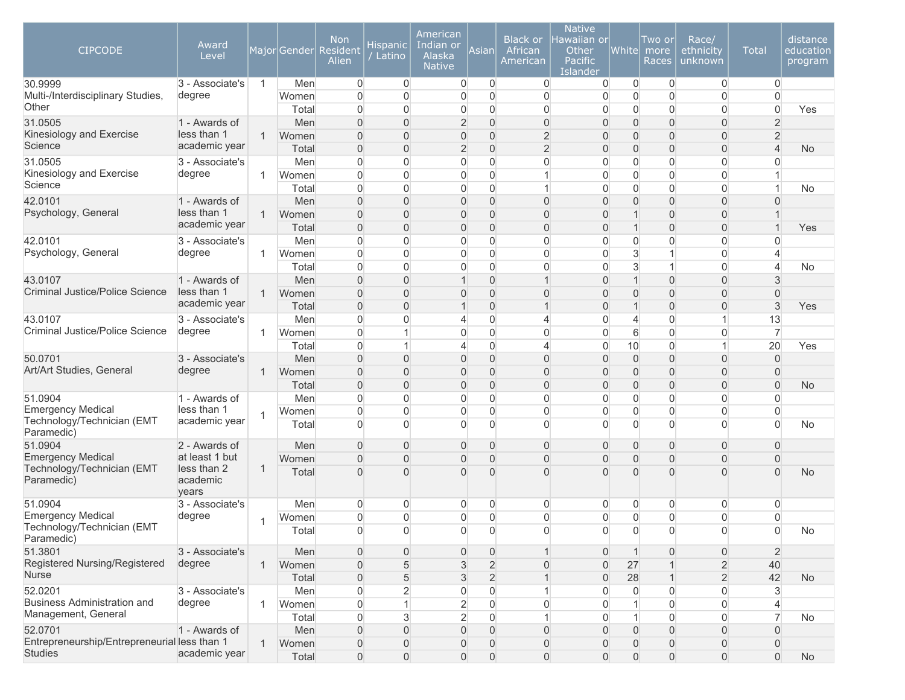| <b>CIPCODE</b><br>30.9999<br>Multi-/Interdisciplinary Studies, | Award<br>Level<br>3 - Associate's<br>degree | $\overline{1}$ | Men<br>Women   | <b>Non</b><br>Major Gender Resident<br>Alien<br>$\overline{0}$<br>$\Omega$ | Hispanic<br>Latino<br>$\overline{0}$<br>$\overline{0}$ | American<br>Indian or<br>Alaska<br><b>Native</b><br>$\overline{0}$<br>$\overline{0}$ | Asian<br>$\overline{0}$<br>$\overline{0}$ | <b>Black or</b><br>African<br>American<br>$\overline{0}$<br>$\boldsymbol{0}$ | <b>Native</b><br>Hawaiian or<br>Other<br>Pacific<br>Islander<br>0<br>0 | White <br>$\overline{0}$<br>$\overline{0}$ | Two or<br>more<br>Races<br>$\overline{0}$<br>$\mathbf 0$ | Race/<br>ethnicity<br>unknown<br>$\overline{0}$<br>$\boldsymbol{0}$ | <b>Total</b><br>$\overline{0}$<br>$\overline{0}$ | distance<br>education<br>program |  |
|----------------------------------------------------------------|---------------------------------------------|----------------|----------------|----------------------------------------------------------------------------|--------------------------------------------------------|--------------------------------------------------------------------------------------|-------------------------------------------|------------------------------------------------------------------------------|------------------------------------------------------------------------|--------------------------------------------|----------------------------------------------------------|---------------------------------------------------------------------|--------------------------------------------------|----------------------------------|--|
| Other                                                          |                                             |                | Total          | $\Omega$                                                                   | $\overline{0}$                                         | $\overline{0}$                                                                       | $\overline{0}$                            | $\mathbf{0}$                                                                 | $\overline{0}$                                                         | $\overline{0}$                             | $\overline{0}$                                           | $\boldsymbol{0}$                                                    | $\Omega$                                         | Yes                              |  |
| 31.0505                                                        | 1 - Awards of                               |                | Men            | $\Omega$                                                                   | $\overline{0}$                                         | $\overline{2}$                                                                       | $\overline{0}$                            | $\boldsymbol{0}$                                                             | $\overline{0}$                                                         | $\overline{0}$                             | $\overline{0}$                                           | $\overline{0}$                                                      | $\overline{2}$                                   |                                  |  |
| Kinesiology and Exercise                                       | less than 1                                 | $\mathbf{1}$   | Women          | $\Omega$                                                                   | $\overline{0}$                                         | $\boldsymbol{0}$                                                                     | $\mathbf 0$                               | $\overline{2}$                                                               | $\Omega$                                                               | $\overline{0}$                             | $\overline{0}$                                           | $\overline{0}$                                                      | $\overline{2}$                                   |                                  |  |
| Science                                                        | academic year                               |                | Total          | $\Omega$                                                                   | $\overline{0}$                                         | $\overline{2}$                                                                       | $\overline{0}$                            | $\overline{2}$                                                               | $\overline{0}$                                                         | $\overline{0}$                             | $\overline{0}$                                           | $\overline{0}$                                                      | $\overline{4}$                                   | <b>No</b>                        |  |
| 31.0505<br>Kinesiology and Exercise                            | 3 - Associate's                             |                | Men            | $\overline{0}$                                                             | $\overline{0}$                                         | 0                                                                                    | $\overline{0}$                            | $\mathbf{0}$                                                                 | $\overline{0}$                                                         | $\overline{0}$                             | $\mathbf 0$                                              | $\overline{0}$                                                      | 0                                                |                                  |  |
| Science                                                        | degree                                      | -1             | Women          | $\overline{0}$                                                             | $\overline{0}$                                         | 0                                                                                    | $\boldsymbol{0}$                          | $\mathbf{1}$                                                                 | $\overline{0}$                                                         | $\overline{0}$                             | $\mathbf 0$                                              | $\boldsymbol{0}$                                                    | 1                                                |                                  |  |
|                                                                |                                             |                | Total          | $\overline{0}$<br>$\overline{0}$                                           | $\overline{0}$<br>$\overline{0}$                       | $\overline{0}$                                                                       | $\overline{0}$                            | $\mathbf{1}$<br>$\overline{0}$                                               | $\overline{0}$                                                         | $\overline{0}$<br>$\mathbf{0}$             | $\mathbf 0$<br>$\overline{0}$                            | $\overline{0}$<br>$\overline{0}$                                    | $\mathbf{1}$<br>$\mathbf{0}$                     | <b>No</b>                        |  |
| 42.0101<br>Psychology, General                                 | 1 - Awards of<br>less than 1                | $\mathbf{1}$   | Men<br>Women   | $\Omega$                                                                   | $\overline{0}$                                         | $\boldsymbol{0}$<br>0                                                                | 0<br>$\overline{0}$                       | $\mathbf 0$                                                                  | $\mathsf{O}\xspace$<br>$\overline{0}$                                  |                                            | $\overline{0}$                                           | 0                                                                   |                                                  |                                  |  |
|                                                                | academic year                               |                | Total          | $\overline{0}$                                                             | $\overline{0}$                                         | $\boldsymbol{0}$                                                                     | $\overline{0}$                            | $\overline{0}$                                                               | $\overline{0}$                                                         | $\mathbf 1$                                | $\overline{0}$                                           | $\boldsymbol{0}$                                                    | $\overline{1}$                                   | Yes                              |  |
| 42.0101                                                        | 3 - Associate's                             |                | Men            | $\overline{0}$                                                             | $\overline{0}$                                         | 0                                                                                    | $\overline{0}$                            | $\overline{0}$                                                               | $\overline{0}$                                                         | $\overline{0}$                             | $\mathbf 0$                                              | $\boldsymbol{0}$                                                    | $\overline{0}$                                   |                                  |  |
| Psychology, General                                            | degree                                      | 1              | Women          | $\Omega$                                                                   | $\overline{0}$                                         | 0                                                                                    | $\overline{0}$                            | $\overline{0}$                                                               | $\overline{0}$                                                         | 3                                          | $\mathbf 1$                                              | $\boldsymbol{0}$                                                    | $\overline{4}$                                   |                                  |  |
|                                                                |                                             |                | Total          | $\Omega$                                                                   | $\overline{0}$                                         | $\overline{0}$                                                                       | $\overline{0}$                            | $\overline{0}$                                                               | $\overline{0}$                                                         | 3                                          | $\overline{1}$                                           | $\overline{0}$                                                      | $\overline{4}$                                   | No                               |  |
| 43.0107                                                        | 1 - Awards of                               |                | Men            | $\Omega$                                                                   | $\Omega$                                               | $\mathbf{1}$                                                                         | $\overline{0}$                            | $\mathbf 1$                                                                  | $\overline{0}$                                                         | $\mathbf 1$                                | $\overline{0}$                                           | $\overline{0}$                                                      | 3                                                |                                  |  |
| <b>Criminal Justice/Police Science</b>                         | less than 1<br>academic year                |                | $\mathbf{1}$   | Women                                                                      | $\Omega$                                               | $\Omega$                                                                             | 0                                         | $\mathbf 0$                                                                  | $\overline{0}$                                                         | $\Omega$                                   | $\mathbf{0}$                                             | $\Omega$                                                            | 0                                                | $\Omega$                         |  |
|                                                                |                                             |                | Total          | $\overline{0}$                                                             | $\Omega$                                               | 1                                                                                    | $\overline{0}$                            | $\mathbf 1$                                                                  | $\overline{0}$                                                         | 1                                          | $\overline{0}$                                           | 0                                                                   | 3                                                | Yes                              |  |
| 43.0107                                                        | 3 - Associate's                             |                | Men            | $\overline{0}$                                                             | $\overline{0}$                                         | $\overline{4}$                                                                       | $\boldsymbol{0}$                          | 4                                                                            | 0                                                                      | $\overline{4}$                             | $\overline{0}$                                           | $\mathbf{1}$                                                        | 13                                               |                                  |  |
| Criminal Justice/Police Science                                | degree                                      | -1             | Women          | $\Omega$                                                                   |                                                        | 0                                                                                    | $\boldsymbol{0}$                          | $\boldsymbol{0}$                                                             | $\overline{0}$                                                         | 6                                          | $\overline{0}$                                           | $\boldsymbol{0}$                                                    | $\overline{7}$                                   |                                  |  |
|                                                                |                                             |                | Total          | $\overline{0}$                                                             |                                                        | 4                                                                                    | $\boldsymbol{0}$                          | 4                                                                            | 0                                                                      | 10                                         | $\mathbf 0$                                              | $\mathbf{1}$                                                        | 20                                               | Yes                              |  |
| 50.0701                                                        | 3 - Associate's                             |                | Men            | $\Omega$                                                                   | $\Omega$                                               | 0                                                                                    | $\mathbf 0$                               | $\mathbf{0}$                                                                 | $\overline{0}$                                                         | $\boldsymbol{0}$                           | $\overline{0}$                                           | $\overline{0}$                                                      | $\mathbf 0$                                      |                                  |  |
| Art/Art Studies, General                                       | degree                                      | $\mathbf{1}$   | Women          | $\Omega$                                                                   | $\Omega$                                               | 0                                                                                    | $\overline{0}$                            | $\overline{0}$                                                               | $\Omega$                                                               | $\mathbf{0}$                               | $\overline{0}$                                           | 0                                                                   | $\overline{0}$                                   |                                  |  |
|                                                                |                                             |                | Total          | $\overline{0}$                                                             | $\overline{0}$                                         | 0                                                                                    | $\overline{0}$                            | $\overline{0}$                                                               | $\overline{0}$                                                         | $\mathbf{0}$                               | $\mathbf 0$                                              | $\boldsymbol{0}$                                                    | $\overline{0}$                                   | <b>No</b>                        |  |
| 51.0904<br><b>Emergency Medical</b>                            | 1 - Awards of<br>less than 1                |                | Men            | $\Omega$                                                                   | $\overline{0}$                                         | 0                                                                                    | $\overline{0}$                            | $\mathbf{0}$                                                                 | $\overline{0}$                                                         | $\overline{0}$                             | 0                                                        | $\boldsymbol{0}$                                                    | $\Omega$                                         |                                  |  |
| Technology/Technician (EMT                                     | academic year                               |                | Women<br>Total | $\Omega$<br>$\Omega$                                                       | $\overline{0}$<br>$\overline{0}$                       | 0<br>$\overline{0}$                                                                  | 0<br>0                                    | $\mathbf{0}$<br>$\mathbf{0}$                                                 | $\overline{0}$<br>$\mathbf{0}$                                         | $\overline{0}$<br>$\overline{0}$           | $\overline{0}$<br>$\overline{0}$                         | $\boldsymbol{0}$<br>$\overline{0}$                                  | $\Omega$<br>$\Omega$                             | No                               |  |
| Paramedic)                                                     |                                             |                |                |                                                                            |                                                        |                                                                                      |                                           |                                                                              |                                                                        |                                            |                                                          |                                                                     |                                                  |                                  |  |
| 51.0904<br><b>Emergency Medical</b>                            | 2 - Awards of<br>at least 1 but             |                | Men            | $\Omega$                                                                   | $\overline{0}$                                         | $\mathbf 0$                                                                          | 0                                         | $\mathbf{0}$                                                                 | $\overline{0}$                                                         | $\mathbf{0}$                               | $\mathbf 0$                                              | $\overline{0}$                                                      | $\mathbf{0}$                                     |                                  |  |
| Technology/Technician (EMT                                     | less than 2                                 | 1              | Women          | $\Omega$                                                                   | $\overline{0}$<br>$\Omega$                             | $\boldsymbol{0}$                                                                     | $\overline{0}$                            | $\overline{0}$                                                               | $\overline{0}$<br>$\Omega$                                             | $\overline{0}$                             | $\overline{0}$<br>$\Omega$                               | $\boldsymbol{0}$                                                    | $\Omega$<br>$\Omega$                             |                                  |  |
| Paramedic)                                                     | academic<br>years                           |                | Total          | $\Omega$                                                                   |                                                        | $\overline{0}$                                                                       | $\overline{0}$                            | $\overline{0}$                                                               |                                                                        | $\Omega$                                   |                                                          | $\Omega$                                                            |                                                  | <b>No</b>                        |  |
| 51.0904                                                        | 3 - Associate's                             |                | Men            | $\overline{0}$                                                             | $\mathbf 0$                                            | $\overline{0}$                                                                       | $\mathbf 0$                               | 0                                                                            | 0                                                                      | 0                                          | 0                                                        | $\overline{0}$                                                      | 0                                                |                                  |  |
| <b>Emergency Medical</b><br>Technology/Technician (EMT         | degree                                      |                | Women          | $\overline{0}$                                                             | $\overline{0}$                                         | 0                                                                                    | 0                                         | $\overline{0}$                                                               | 0                                                                      | $\overline{0}$                             | $\overline{0}$                                           | $\overline{0}$                                                      | $\overline{0}$                                   |                                  |  |
| Paramedic)                                                     |                                             |                | Total          | $\Omega$                                                                   | $\Omega$                                               | $\overline{0}$                                                                       | $\overline{0}$                            | $\overline{0}$                                                               | $\overline{0}$                                                         | $\Omega$                                   | $\overline{0}$                                           | $\overline{0}$                                                      | $\overline{0}$                                   | No                               |  |
| 51.3801                                                        | 3 - Associate's                             |                | Men            | $\bf 0$                                                                    | 0                                                      | $\mathbf 0$                                                                          | $\mathsf{O}\xspace$                       | $\mathbf 1$                                                                  | $\boldsymbol{0}$                                                       | $\mathbf{1}$                               | $\boldsymbol{0}$                                         | $\boldsymbol{0}$                                                    | $\overline{2}$                                   |                                  |  |
| Registered Nursing/Registered                                  | degree                                      | $\mathbf{1}$   | Women          | $\boldsymbol{0}$                                                           | 5                                                      | 3                                                                                    | $\overline{2}$                            | $\mathbf 0$                                                                  | 0                                                                      | 27                                         | $\mathbf 1$                                              | $\overline{2}$                                                      | 40                                               |                                  |  |
| <b>Nurse</b>                                                   |                                             |                | Total          | $\bf 0$                                                                    | $\sqrt{5}$                                             | 3                                                                                    | $\overline{2}$                            | $\mathbf{1}$                                                                 | $\overline{0}$                                                         | 28                                         | $\overline{1}$                                           | $\overline{2}$                                                      | 42                                               | <b>No</b>                        |  |
| 52.0201                                                        | 3 - Associate's                             |                | Men            | 0                                                                          | $\overline{2}$                                         | 0                                                                                    | $\mathbf 0$                               | $\mathbf{1}$                                                                 | 0                                                                      | 0                                          | $\mathbf 0$                                              | $\boldsymbol{0}$                                                    | 3                                                |                                  |  |
| <b>Business Administration and</b><br>Management, General      | degree                                      | $\overline{1}$ | Women          | $\overline{0}$                                                             |                                                        | $\overline{c}$                                                                       | $\boldsymbol{0}$                          | $\overline{0}$                                                               | 0                                                                      | 1                                          | 0                                                        | $\boldsymbol{0}$                                                    | $\overline{\mathcal{L}}$                         |                                  |  |
|                                                                |                                             |                | Total          | $\Omega$                                                                   | 3                                                      | $\overline{2}$                                                                       | $\overline{0}$                            | $\mathbf{1}$                                                                 | 0                                                                      | $\mathbf{1}$                               | $\boldsymbol{0}$                                         | $\overline{0}$                                                      | $\overline{7}$                                   | No                               |  |
| 52.0701<br>Entrepreneurship/Entrepreneurial less than 1        | 1 - Awards of                               | $\mathbf{1}$   | Men<br>Women   | $\overline{0}$<br>$\overline{0}$                                           | $\overline{0}$<br>$\mathbf 0$                          | $\boldsymbol{0}$                                                                     | $\overline{0}$<br>$\mathbf 0$             | $\mathbf 0$                                                                  | $\overline{0}$<br>0                                                    | $\overline{0}$<br>$\boldsymbol{0}$         | $\mathbf 0$<br>$\boldsymbol{0}$                          | $\boldsymbol{0}$<br>$\overline{0}$                                  | $\overline{0}$<br>$\overline{0}$                 |                                  |  |
| <b>Studies</b>                                                 | academic year                               |                | Total          | $\overline{0}$                                                             | $\mathsf{O}\xspace$                                    | 0<br>$\boldsymbol{0}$                                                                | $\boldsymbol{0}$                          | $\mathbf 0$<br>$\boldsymbol{0}$                                              | $\overline{0}$                                                         | $\boldsymbol{0}$                           | $\boldsymbol{0}$                                         | $\boldsymbol{0}$                                                    | $\overline{0}$                                   | No                               |  |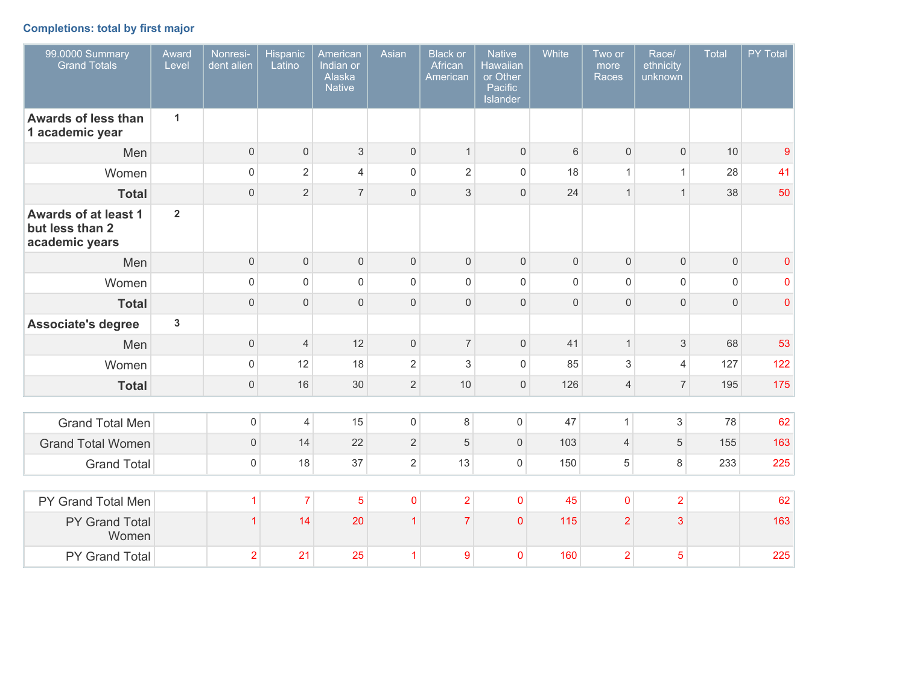# **Completions: total by first major**

| 99.0000 Summary<br><b>Grand Totals</b>                           | Award<br>Level | Nonresi-<br>dent alien | <b>Hispanic</b><br>Latino | American<br>Indian or<br>Alaska<br><b>Native</b> | Asian               | <b>Black or</b><br>African<br>American | <b>Native</b><br><b>Hawaiian</b><br>or Other<br>Pacific<br>Islander | White               | Two or<br>more<br><b>Races</b> | Race/<br>ethnicity<br>unknown | Total               | PY Total  |
|------------------------------------------------------------------|----------------|------------------------|---------------------------|--------------------------------------------------|---------------------|----------------------------------------|---------------------------------------------------------------------|---------------------|--------------------------------|-------------------------------|---------------------|-----------|
| <b>Awards of less than</b><br>1 academic year                    | $\mathbf{1}$   |                        |                           |                                                  |                     |                                        |                                                                     |                     |                                |                               |                     |           |
| Men                                                              |                | $\mathbf 0$            | $\mathbf 0$               | 3                                                | $\mathsf{O}$        | $\mathbf{1}$                           | $\mathbf 0$                                                         | $6\phantom{1}$      | $\mathbf 0$                    | $\mathsf{O}\xspace$           | 10                  | 9         |
| Women                                                            |                | $\mathsf{O}\xspace$    | $\overline{2}$            | $\overline{4}$                                   | $\mathsf 0$         | $\sqrt{2}$                             | $\mathsf{O}\xspace$                                                 | 18                  | $\mathbf{1}$                   | $\mathbf{1}$                  | 28                  | 41        |
| <b>Total</b>                                                     |                | $\mathbf 0$            | $\overline{2}$            | $\overline{7}$                                   | $\Omega$            | $\mathfrak{S}$                         | $\mathsf{O}\xspace$                                                 | 24                  | $\mathbf{1}$                   | $\mathbf{1}$                  | 38                  | 50        |
| <b>Awards of at least 1</b><br>but less than 2<br>academic years | $\overline{2}$ |                        |                           |                                                  |                     |                                        |                                                                     |                     |                                |                               |                     |           |
| Men                                                              |                | $\mathbf 0$            | $\mathbf 0$               | $\mathbf 0$                                      | $\mathsf{O}$        | $\mathbf 0$                            | $\mathbf 0$                                                         | $\mathbf 0$         | $\mathbf 0$                    | $\mathsf{O}\xspace$           | $\mathbf 0$         | $\pmb{0}$ |
| Women                                                            |                | $\mathsf 0$            | $\mathsf 0$               | $\mathsf{O}\xspace$                              | $\mathsf{O}\xspace$ | $\mathsf{O}\xspace$                    | $\mathsf{O}\xspace$                                                 | $\mathsf{O}\xspace$ | $\mathbf 0$                    | $\mathsf{O}\xspace$           | $\mathsf{O}\xspace$ | $\pmb{0}$ |
| <b>Total</b>                                                     |                | $\mathbf{0}$           | $\mathbf{0}$              | $\mathbf{0}$                                     | $\mathbf{0}$        | $\mathbf 0$                            | $\mathbf 0$                                                         | $\mathsf{O}\xspace$ | $\overline{0}$                 | $\mathbf{0}$                  | $\mathbf 0$         | $\pmb{0}$ |
| <b>Associate's degree</b>                                        | $\overline{3}$ |                        |                           |                                                  |                     |                                        |                                                                     |                     |                                |                               |                     |           |
| Men                                                              |                | $\mathsf{O}\xspace$    | $\overline{4}$            | 12                                               | $\mathbf 0$         | $\overline{7}$                         | $\mathsf{O}\xspace$                                                 | 41                  | $\mathbf{1}$                   | $\sqrt{3}$                    | 68                  | 53        |
| Women                                                            |                | $\mathsf 0$            | 12                        | 18                                               | $\overline{2}$      | $\mathfrak{S}$                         | $\mathsf{O}\xspace$                                                 | 85                  | 3                              | $\overline{4}$                | 127                 | 122       |
| <b>Total</b>                                                     |                | $\mathsf{O}\xspace$    | 16                        | 30                                               | $\overline{2}$      | 10                                     | $\mathbf 0$                                                         | 126                 | $\overline{4}$                 | 7 <sup>1</sup>                | 195                 | 175       |
|                                                                  |                |                        |                           |                                                  |                     |                                        |                                                                     |                     |                                |                               |                     |           |
| <b>Grand Total Men</b>                                           |                | $\mathsf{O}\xspace$    | $\overline{4}$            | 15                                               | $\mathsf{O}$        | 8                                      | $\mathsf{O}\xspace$                                                 | 47                  | $\mathbf{1}$                   | $\ensuremath{\mathsf{3}}$     | 78                  | 62        |
| <b>Grand Total Women</b>                                         |                | $\mathsf{O}\xspace$    | 14                        | 22                                               | $\overline{2}$      | 5                                      | $\mathsf{O}\xspace$                                                 | 103                 | $\overline{4}$                 | $\sqrt{5}$                    | 155                 | 163       |
| <b>Grand Total</b>                                               |                | $\mathsf{O}\xspace$    | 18                        | 37                                               | $\overline{2}$      | 13                                     | $\mathsf{O}\xspace$                                                 | 150                 | $\sqrt{5}$                     | 8                             | 233                 | 225       |
|                                                                  |                |                        |                           |                                                  |                     |                                        |                                                                     |                     |                                |                               |                     |           |
| PY Grand Total Men                                               |                | $\overline{1}$         | $\overline{7}$            | 5                                                | $\mathbf 0$         | $\overline{2}$                         | $\pmb{0}$                                                           | 45                  | $\mathbf 0$                    | $\overline{2}$                |                     | 62        |
| PY Grand Total<br>Women                                          |                | $\overline{1}$         | 14                        | 20                                               | $\overline{1}$      | $\overline{7}$                         | $\mathbf 0$                                                         | 115                 | $\overline{2}$                 | 3                             |                     | 163       |
| PY Grand Total                                                   |                | $\overline{2}$         | 21                        | 25                                               | $\mathbf{1}$        | 9                                      | $\mathbf 0$                                                         | 160                 | $\overline{2}$                 | 5                             |                     | 225       |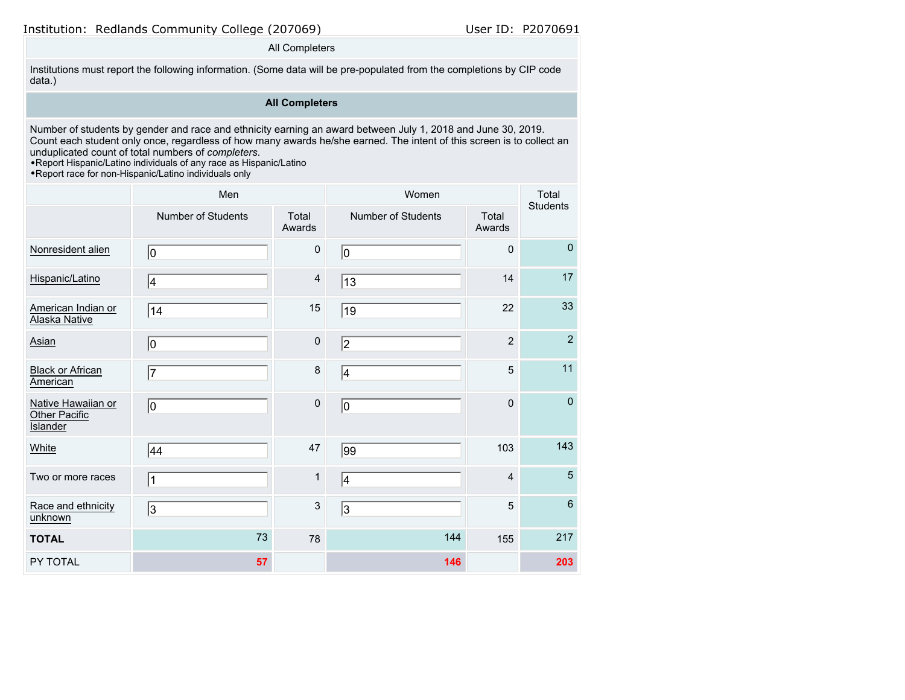# Institution: Redlands Community College (207069) User ID: P2070691

### All Completers

Institutions must report the following information. (Some data will be pre-populated from the completions by CIP code data.)

# **All Completers**

Number of students by gender and race and ethnicity earning an award between July 1, 2018 and June 30, 2019. Count each student only once, regardless of how many awards he/she earned. The intent of this screen is to collect an unduplicated count of total numbers of *completers*.

•Report Hispanic/Latino individuals of any race as Hispanic/Latino

•Report race for non-Hispanic/Latino individuals only

|                                                        | Men                       |                         | Women              | Total<br>Students |                |
|--------------------------------------------------------|---------------------------|-------------------------|--------------------|-------------------|----------------|
|                                                        | <b>Number of Students</b> | Total<br>Awards         | Number of Students | Total<br>Awards   |                |
| Nonresident alien                                      | 10                        | $\pmb{0}$               | 10                 | $\mathbf 0$       | $\mathbf 0$    |
| Hispanic/Latino                                        | 14                        | $\overline{\mathbf{4}}$ | 13                 | 14                | 17             |
| American Indian or<br><b>Alaska Native</b>             | 14                        | 15                      | 19                 | 22                | 33             |
| Asian                                                  | 10                        | $\pmb{0}$               | 2                  | $\overline{2}$    | $\overline{2}$ |
| <b>Black or African</b><br>American                    | 7                         | 8                       | 4                  | 5                 | 11             |
| Native Hawaiian or<br>Other Pacific<br><b>Islander</b> | 10                        | $\pmb{0}$               | 10                 | $\mathbf 0$       | $\pmb{0}$      |
| White                                                  | 44                        | 47                      | $\overline{99}$    | 103               | 143            |
| Two or more races                                      | $\vert$ 1                 | $\mathbf{1}$            | 4                  | $\overline{4}$    | $5\phantom{.}$ |
| Race and ethnicity<br>unknown                          | 3                         | 3                       | $\overline{3}$     | 5                 | $6\phantom{a}$ |
| <b>TOTAL</b>                                           | 73                        | 78                      | 144                | 155               | 217            |
| PY TOTAL                                               | 57                        |                         | 146                |                   | 203            |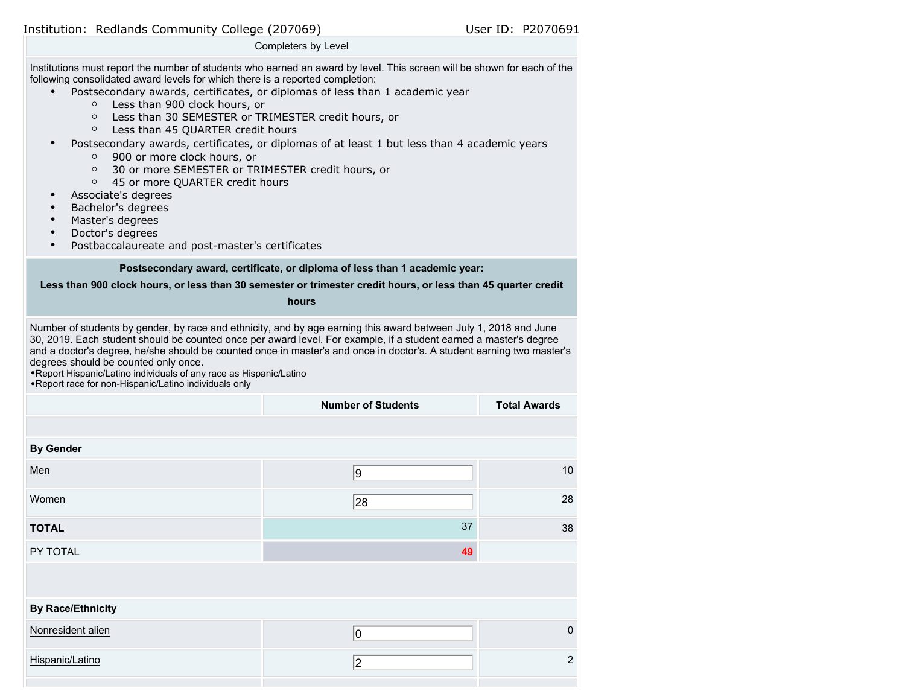Institution: Redlands Community College (207069) User ID: P2070691

#### Completers by Level

Institutions must report the number of students who earned an award by level. This screen will be shown for each of the following consolidated award levels for which there is a reported completion:

- Postsecondary awards, certificates, or diplomas of less than 1 academic year
	- Less than 900 clock hours, or
	- Less than 30 SEMESTER or TRIMESTER credit hours, or
	- Less than 45 QUARTER credit hours
- Postsecondary awards, certificates, or diplomas of at least 1 but less than 4 academic years
	- 900 or more clock hours, or
	- 30 or more SEMESTER or TRIMESTER credit hours, or
	- 45 or more QUARTER credit hours
- Associate's degrees
- Bachelor's degrees
- Master's degrees
- Doctor's degrees
- Postbaccalaureate and post-master's certificates

### **Postsecondary award, certificate, or diploma of less than 1 academic year:**

### **Less than 900 clock hours, or less than 30 semester or trimester credit hours, or less than 45 quarter credit**

### **hours**

Number of students by gender, by race and ethnicity, and by age earning this award between July 1, 2018 and June 30, 2019. Each student should be counted once per award level. For example, if a student earned a master's degree and a doctor's degree, he/she should be counted once in master's and once in doctor's. A student earning two master's degrees should be counted only once.

•Report Hispanic/Latino individuals of any race as Hispanic/Latino

•Report race for non-Hispanic/Latino individuals only

|                          | <b>Number of Students</b> | <b>Total Awards</b> |
|--------------------------|---------------------------|---------------------|
|                          |                           |                     |
| <b>By Gender</b>         |                           |                     |
| Men                      | 9                         | $10$                |
| Women                    | 28                        | 28                  |
| <b>TOTAL</b>             | 37                        | 38                  |
| PY TOTAL                 | 49                        |                     |
|                          |                           |                     |
| <b>By Race/Ethnicity</b> |                           |                     |
| Nonresident alien        | 10                        | $\mathbf 0$         |
| Hispanic/Latino          | 2                         | $\overline{2}$      |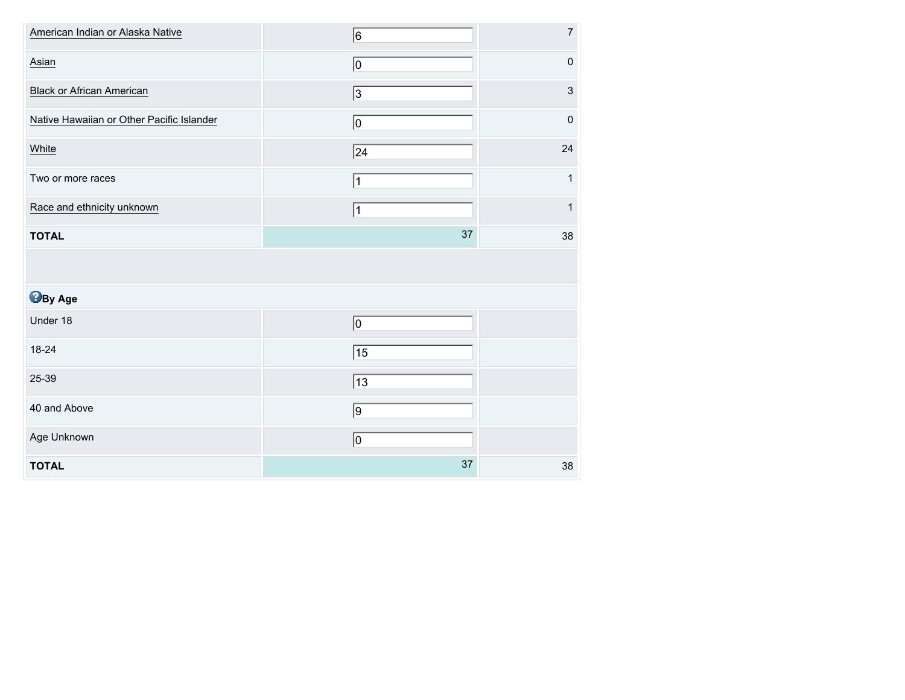| American Indian or Alaska Native          | 6              | $\overline{7}$ |
|-------------------------------------------|----------------|----------------|
| Asian                                     | 10             | $\mathbf 0$    |
| <b>Black or African American</b>          | $\overline{3}$ | $\mathsf 3$    |
| Native Hawaiian or Other Pacific Islander | $ 0\rangle$    | $\mathbf 0$    |
| White                                     | 24             | 24             |
| Two or more races                         | 1              | 1              |
| Race and ethnicity unknown                | 1              | $\mathbf{1}$   |
| <b>TOTAL</b>                              | 37             | 38             |
|                                           |                |                |
|                                           |                |                |
| <b>B</b> By Age                           |                |                |
| Under 18                                  | $\overline{0}$ |                |
| 18-24                                     | $\sqrt{15}$    |                |
| 25-39                                     | $\sqrt{13}$    |                |
| 40 and Above                              | $\overline{9}$ |                |
| Age Unknown                               | 10             |                |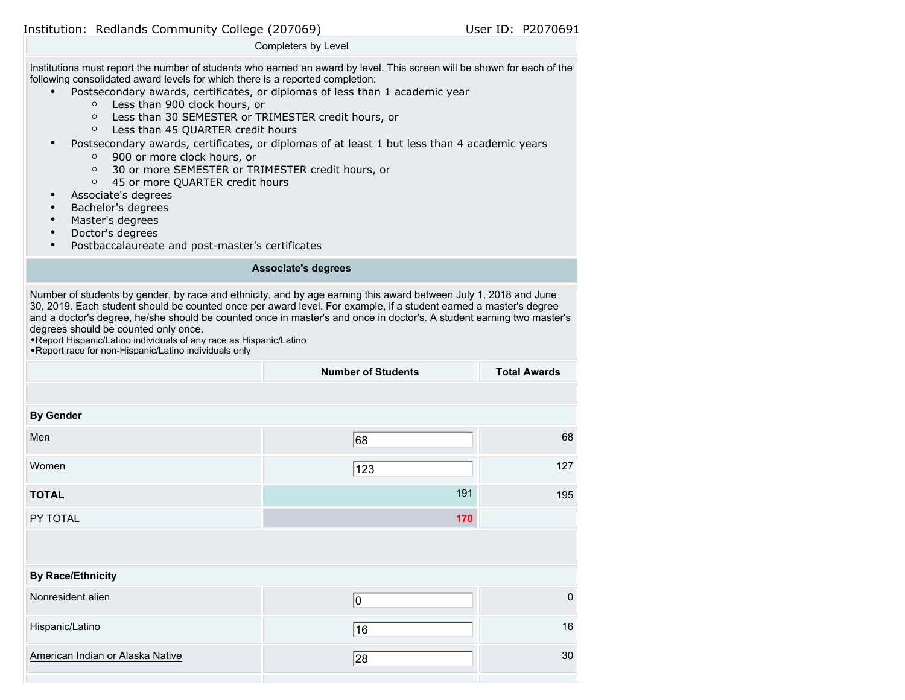Institution: Redlands Community College (207069) User ID: P2070691

### Completers by Level

Institutions must report the number of students who earned an award by level. This screen will be shown for each of the following consolidated award levels for which there is a reported completion:

- Postsecondary awards, certificates, or diplomas of less than 1 academic year
	- Less than 900 clock hours, or
	- Less than 30 SEMESTER or TRIMESTER credit hours, or
	- Less than 45 QUARTER credit hours
- Postsecondary awards, certificates, or diplomas of at least 1 but less than 4 academic years
	- 900 or more clock hours, or
	- 30 or more SEMESTER or TRIMESTER credit hours, or
	- 45 or more QUARTER credit hours
- Associate's degrees
- Bachelor's degrees
- Master's degrees
- Doctor's degrees
- Postbaccalaureate and post-master's certificates

# **Associate's degrees**

Number of students by gender, by race and ethnicity, and by age earning this award between July 1, 2018 and June 30, 2019. Each student should be counted once per award level. For example, if a student earned a master's degree and a doctor's degree, he/she should be counted once in master's and once in doctor's. A student earning two master's degrees should be counted only once.

•Report Hispanic/Latino individuals of any race as Hispanic/Latino •Report race for non-Hispanic/Latino individuals only

|                                  | <b>Number of Students</b> | <b>Total Awards</b> |
|----------------------------------|---------------------------|---------------------|
|                                  |                           |                     |
| <b>By Gender</b>                 |                           |                     |
| Men                              | 68                        | 68                  |
| Women                            | 123                       | 127                 |
| <b>TOTAL</b>                     | 191                       | 195                 |
| PY TOTAL                         | 170                       |                     |
|                                  |                           |                     |
| <b>By Race/Ethnicity</b>         |                           |                     |
| Nonresident alien                | 10                        | $\mathbf 0$         |
| Hispanic/Latino                  | 16                        | 16                  |
| American Indian or Alaska Native | 28                        | 30                  |
|                                  |                           |                     |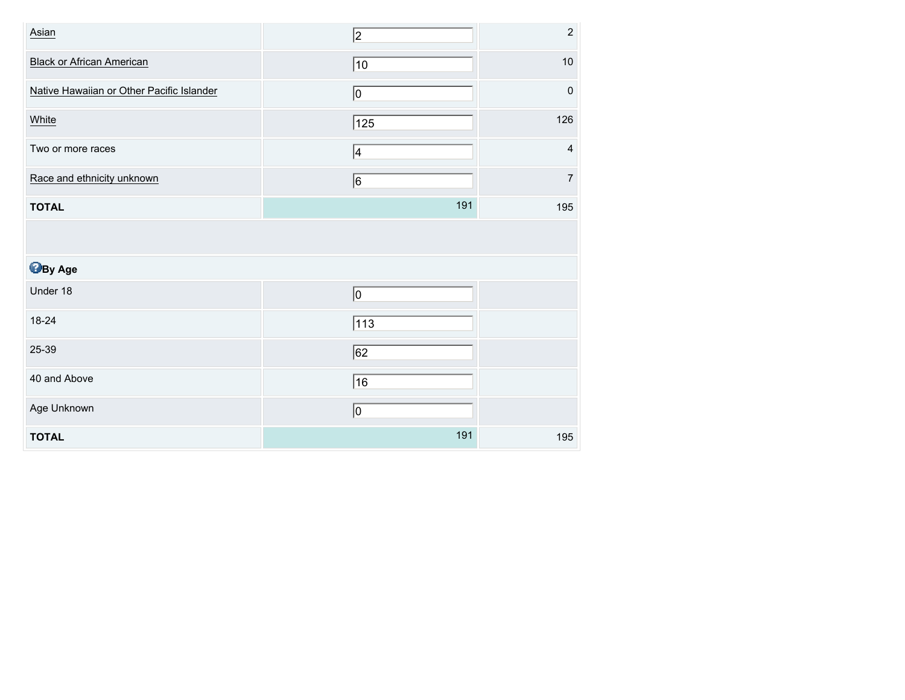| Asian                                     | $\vert$ <sub>2</sub> | $\mathbf 2$             |
|-------------------------------------------|----------------------|-------------------------|
| <b>Black or African American</b>          | $ 10\rangle$         | $10$                    |
| Native Hawaiian or Other Pacific Islander | $ 0\rangle$          | $\mathbf 0$             |
| White                                     | $\sqrt{125}$         | 126                     |
| Two or more races                         | 4                    | $\overline{\mathbf{4}}$ |
| Race and ethnicity unknown                | 6                    | $\overline{7}$          |
| <b>TOTAL</b>                              | 191                  | 195                     |
|                                           |                      |                         |
|                                           |                      |                         |
| <b>B</b> By Age                           |                      |                         |
| Under 18                                  | $ 0\rangle$          |                         |
| 18-24                                     | 113                  |                         |
| 25-39                                     | $\sqrt{62}$          |                         |
| 40 and Above                              | 16                   |                         |
| Age Unknown                               | $ 0\rangle$          |                         |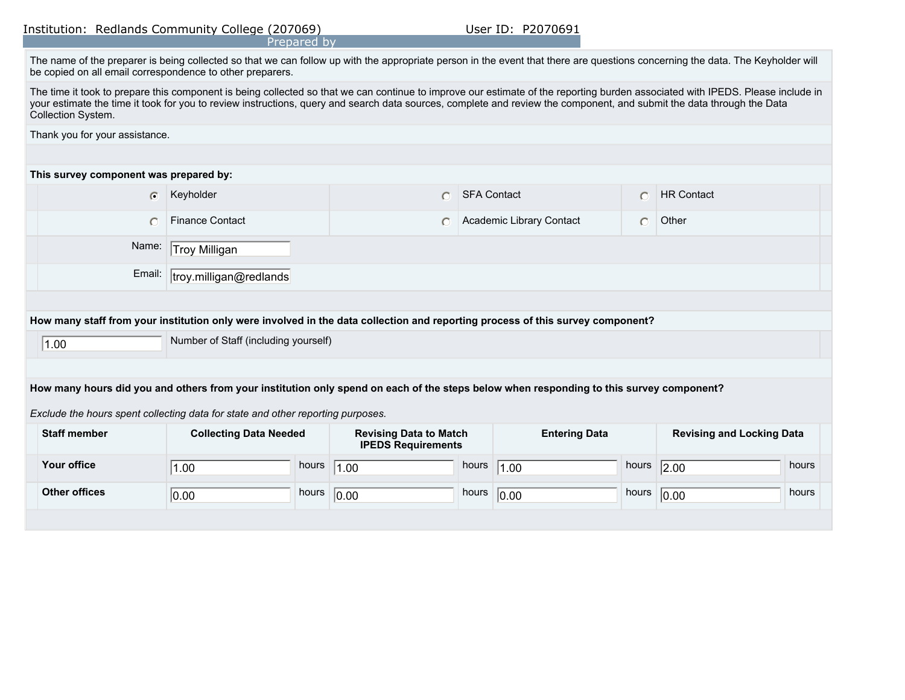|                                                                                                                                                                                                                                                                                                                                                                               | Institution: Redlands Community College (207069)<br>Prepared by |                                                            | User ID: P2070691        |                      |                                  |  |  |
|-------------------------------------------------------------------------------------------------------------------------------------------------------------------------------------------------------------------------------------------------------------------------------------------------------------------------------------------------------------------------------|-----------------------------------------------------------------|------------------------------------------------------------|--------------------------|----------------------|----------------------------------|--|--|
| The name of the preparer is being collected so that we can follow up with the appropriate person in the event that there are questions concerning the data. The Keyholder will<br>be copied on all email correspondence to other preparers.                                                                                                                                   |                                                                 |                                                            |                          |                      |                                  |  |  |
| The time it took to prepare this component is being collected so that we can continue to improve our estimate of the reporting burden associated with IPEDS. Please include in<br>your estimate the time it took for you to review instructions, query and search data sources, complete and review the component, and submit the data through the Data<br>Collection System. |                                                                 |                                                            |                          |                      |                                  |  |  |
| Thank you for your assistance.                                                                                                                                                                                                                                                                                                                                                |                                                                 |                                                            |                          |                      |                                  |  |  |
|                                                                                                                                                                                                                                                                                                                                                                               |                                                                 |                                                            |                          |                      |                                  |  |  |
| This survey component was prepared by:                                                                                                                                                                                                                                                                                                                                        |                                                                 |                                                            |                          |                      |                                  |  |  |
| $\bigcirc$                                                                                                                                                                                                                                                                                                                                                                    | Keyholder                                                       | O                                                          | <b>SFA Contact</b>       | $\bigcap$            | <b>HR Contact</b>                |  |  |
| $\bigcap$                                                                                                                                                                                                                                                                                                                                                                     | <b>Finance Contact</b>                                          |                                                            | Academic Library Contact | $\circ$              | Other                            |  |  |
| Name:                                                                                                                                                                                                                                                                                                                                                                         | Troy Milligan                                                   |                                                            |                          |                      |                                  |  |  |
|                                                                                                                                                                                                                                                                                                                                                                               | Email:<br>troy.milligan@redlands                                |                                                            |                          |                      |                                  |  |  |
|                                                                                                                                                                                                                                                                                                                                                                               |                                                                 |                                                            |                          |                      |                                  |  |  |
| How many staff from your institution only were involved in the data collection and reporting process of this survey component?                                                                                                                                                                                                                                                |                                                                 |                                                            |                          |                      |                                  |  |  |
| Number of Staff (including yourself)<br> 1.00                                                                                                                                                                                                                                                                                                                                 |                                                                 |                                                            |                          |                      |                                  |  |  |
|                                                                                                                                                                                                                                                                                                                                                                               |                                                                 |                                                            |                          |                      |                                  |  |  |
| How many hours did you and others from your institution only spend on each of the steps below when responding to this survey component?                                                                                                                                                                                                                                       |                                                                 |                                                            |                          |                      |                                  |  |  |
| Exclude the hours spent collecting data for state and other reporting purposes.                                                                                                                                                                                                                                                                                               |                                                                 |                                                            |                          |                      |                                  |  |  |
| <b>Staff member</b>                                                                                                                                                                                                                                                                                                                                                           | <b>Collecting Data Needed</b>                                   | <b>Revising Data to Match</b><br><b>IPEDS Requirements</b> |                          | <b>Entering Data</b> | <b>Revising and Locking Data</b> |  |  |

**Your office hours hours hours hours hours hours hours hours hours hours hours hours hours hours** 

1.00 **1.00 hours** 1.00 **hours** 1.00 **hours** 1.00 **hours** 2.00

**Other offices** hours hours hours hours hours hours hours hours hours hours hours hours hours hours hours hours

 $\boxed{0.00}$  hours  $\boxed{0.00}$  hours  $\boxed{0.00}$  hours  $\boxed{0.00}$  hours  $\boxed{0.00}$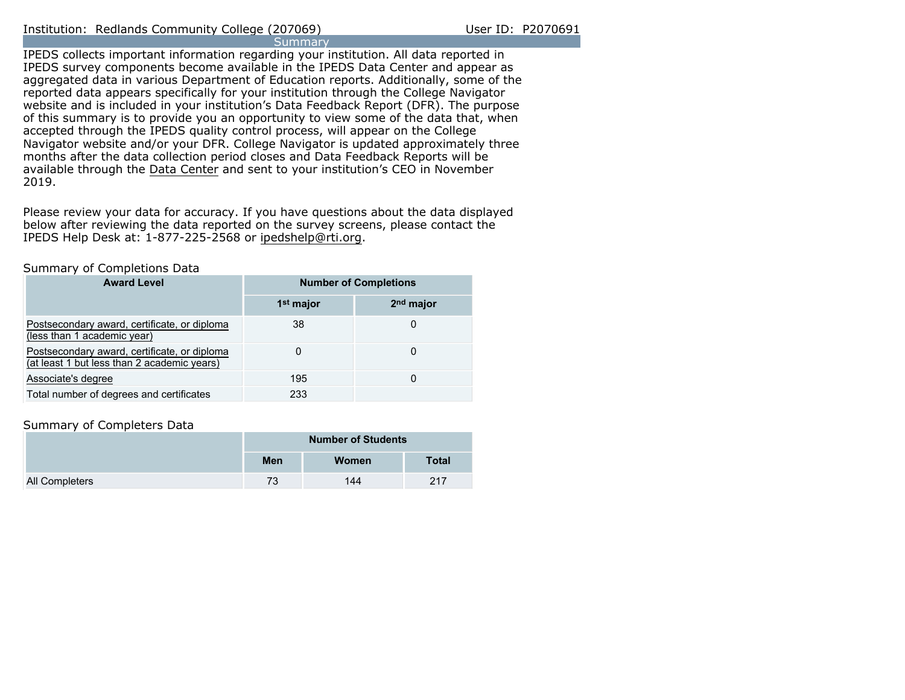IPEDS collects important information regarding your institution. All data reported in IPEDS survey components become available in the IPEDS Data Center and appear as aggregated data in various Department of Education reports. Additionally, some of the reported data appears specifically for your institution through the College Navigator website and is included in your institution's Data Feedback Report (DFR). The purpose of this summary is to provide you an opportunity to view some of the data that, when accepted through the IPEDS quality control process, will appear on the College Navigator website and/or your DFR. College Navigator is updated approximately three months after the data collection period closes and Data Feedback Reports will be available through the [Data Center](https://nces.ed.gov/ipeds/use-the-data) and sent to your institution's CEO in November 2019.

Please review your data for accuracy. If you have questions about the data displayed below after reviewing the data reported on the survey screens, please contact the IPEDS Help Desk at: 1-877-225-2568 or ipedshelp@rti.org.

### Summary of Completions Data

| <b>Award Level</b>                                                                          | <b>Number of Completions</b> |                       |  |
|---------------------------------------------------------------------------------------------|------------------------------|-----------------------|--|
|                                                                                             | 1 <sup>st</sup> major        | 2 <sup>nd</sup> major |  |
| Postsecondary award, certificate, or diploma<br>(less than 1 academic year)                 | 38                           | O                     |  |
| Postsecondary award, certificate, or diploma<br>(at least 1 but less than 2 academic years) | 0                            | 0                     |  |
| Associate's degree                                                                          | 195                          | 0                     |  |
| Total number of degrees and certificates                                                    | 233                          |                       |  |

# Summary of Completers Data

|                | <b>Number of Students</b> |       |              |  |
|----------------|---------------------------|-------|--------------|--|
|                | Men                       | Women | <b>Total</b> |  |
| All Completers | 73                        | 144   | 217          |  |